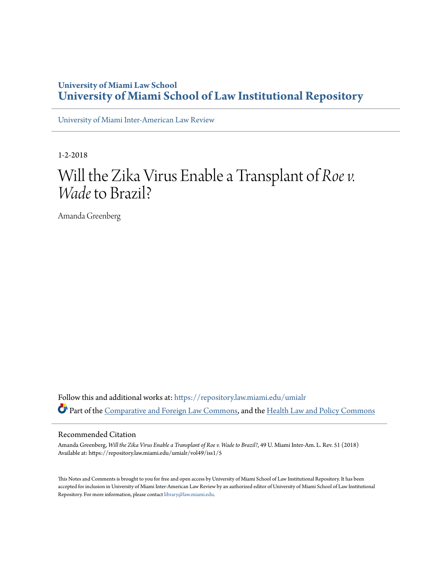# **University of Miami Law School [University of Miami School of Law Institutional Repository](https://repository.law.miami.edu?utm_source=repository.law.miami.edu%2Fumialr%2Fvol49%2Fiss1%2F5&utm_medium=PDF&utm_campaign=PDFCoverPages)**

[University of Miami Inter-American Law Review](https://repository.law.miami.edu/umialr?utm_source=repository.law.miami.edu%2Fumialr%2Fvol49%2Fiss1%2F5&utm_medium=PDF&utm_campaign=PDFCoverPages)

1-2-2018

# Will the Zika Virus Enable a Transplant of *Roe v. Wade* to Brazil?

Amanda Greenberg

Follow this and additional works at: [https://repository.law.miami.edu/umialr](https://repository.law.miami.edu/umialr?utm_source=repository.law.miami.edu%2Fumialr%2Fvol49%2Fiss1%2F5&utm_medium=PDF&utm_campaign=PDFCoverPages) Part of the [Comparative and Foreign Law Commons](http://network.bepress.com/hgg/discipline/836?utm_source=repository.law.miami.edu%2Fumialr%2Fvol49%2Fiss1%2F5&utm_medium=PDF&utm_campaign=PDFCoverPages), and the [Health Law and Policy Commons](http://network.bepress.com/hgg/discipline/901?utm_source=repository.law.miami.edu%2Fumialr%2Fvol49%2Fiss1%2F5&utm_medium=PDF&utm_campaign=PDFCoverPages)

#### Recommended Citation

Amanda Greenberg, *Will the Zika Virus Enable a Transplant of Roe v. Wade to Brazil?*, 49 U. Miami Inter-Am. L. Rev. 51 (2018) Available at: https://repository.law.miami.edu/umialr/vol49/iss1/5

This Notes and Comments is brought to you for free and open access by University of Miami School of Law Institutional Repository. It has been accepted for inclusion in University of Miami Inter-American Law Review by an authorized editor of University of Miami School of Law Institutional Repository. For more information, please contact [library@law.miami.edu](mailto:library@law.miami.edu).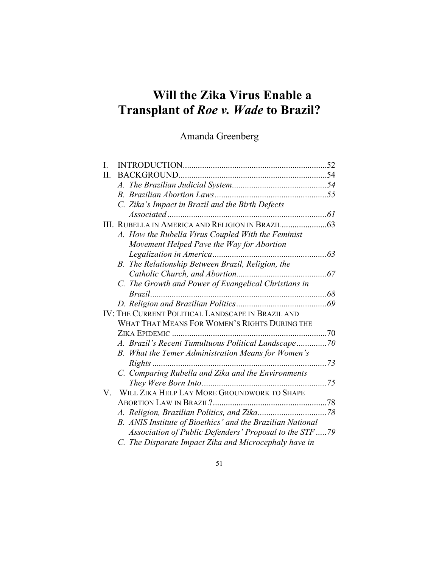# **Will the Zika Virus Enable a Transplant of** *Roe v. Wade* **to Brazil?**

# Amanda Greenberg

| I. | <b>INTRODUCTION.</b>                                       | 52 |
|----|------------------------------------------------------------|----|
| П. | <b>BACKGROUND</b>                                          |    |
|    |                                                            |    |
|    |                                                            |    |
|    | C. Zika's Impact in Brazil and the Birth Defects           |    |
|    |                                                            | 61 |
|    |                                                            |    |
|    | A. How the Rubella Virus Coupled With the Feminist         |    |
|    | Movement Helped Pave the Way for Abortion                  |    |
|    |                                                            | 63 |
|    | B. The Relationship Between Brazil, Religion, the          |    |
|    |                                                            | 67 |
|    | C. The Growth and Power of Evangelical Christians in       |    |
|    | Brazil                                                     | 68 |
|    |                                                            |    |
|    | IV: THE CURRENT POLITICAL LANDSCAPE IN BRAZIL AND          |    |
|    | WHAT THAT MEANS FOR WOMEN'S RIGHTS DURING THE              |    |
|    | <b>ZIKA EPIDEMIC</b>                                       | 70 |
|    | A. Brazil's Recent Tumultuous Political Landscape70        |    |
|    | B. What the Temer Administration Means for Women's         |    |
|    | $Right$ s                                                  | 73 |
|    | C. Comparing Rubella and Zika and the Environments         |    |
|    |                                                            | 75 |
| V. | WILL ZIKA HELP LAY MORE GROUNDWORK TO SHAPE                |    |
|    |                                                            |    |
|    |                                                            |    |
|    | B. ANIS Institute of Bioethics' and the Brazilian National |    |
|    | Association of Public Defenders' Proposal to the STF 79    |    |
|    | C. The Disparate Impact Zika and Microcephaly have in      |    |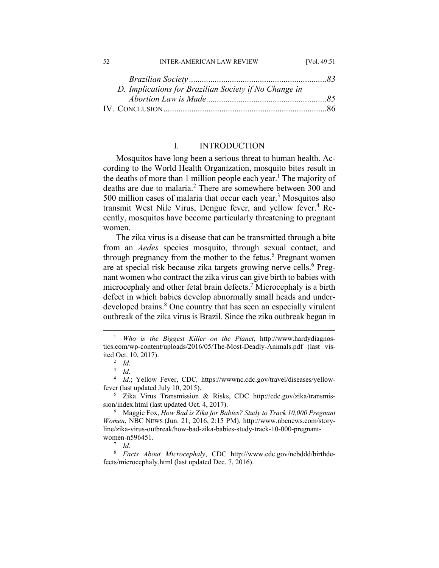#### 52 INTER-AMERICAN LAW REVIEW [Vol. 49:51]

| D. Implications for Brazilian Society if No Change in |  |
|-------------------------------------------------------|--|
|                                                       |  |
|                                                       |  |

### I. INTRODUCTION

Mosquitos have long been a serious threat to human health. According to the World Health Organization, mosquito bites result in the deaths of more than 1 million people each year.<sup>1</sup> The majority of deaths are due to malaria.<sup>2</sup> There are somewhere between 300 and 500 million cases of malaria that occur each year.<sup>3</sup> Mosquitos also transmit West Nile Virus, Dengue fever, and yellow fever.<sup>4</sup> Recently, mosquitos have become particularly threatening to pregnant women.

The zika virus is a disease that can be transmitted through a bite from an *Aedes* species mosquito, through sexual contact, and through pregnancy from the mother to the fetus.<sup>5</sup> Pregnant women are at special risk because zika targets growing nerve cells.<sup>6</sup> Pregnant women who contract the zika virus can give birth to babies with microcephaly and other fetal brain defects.<sup>7</sup> Microcephaly is a birth defect in which babies develop abnormally small heads and underdeveloped brains.<sup>8</sup> One country that has seen an especially virulent outbreak of the zika virus is Brazil. Since the zika outbreak began in

 $^7$  *Id.* 

 $\frac{1}{1}$ <sup>1</sup> Who is the Biggest Killer on the Planet, http://www.hardydiagnostics.com/wp-content/uploads/2016/05/The-Most-Deadly-Animals.pdf (last visited Oct. 10, 2017).

*Id.*

<sup>3</sup>  *Id.*

<sup>&</sup>lt;sup>4</sup> *Id.*; Yellow Fever, CDC, https://wwwnc.cdc.gov/travel/diseases/yellowfever (last updated July 10, 2015).

Zika Virus Transmission & Risks, CDC http://cdc.gov/zika/transmission/index.html (last updated Oct. 4, 2017).

Maggie Fox, *How Bad is Zika for Babies? Study to Track 10,000 Pregnant Women*, NBC NEWS (Jun. 21, 2016, 2:15 PM), http://www.nbcnews.com/storyline/zika-virus-outbreak/how-bad-zika-babies-study-track-10-000-pregnantwomen-n596451.

<sup>8</sup>  *Facts About Microcephaly*, CDC http://www.cdc.gov/ncbddd/birthdefects/microcephaly.html (last updated Dec. 7, 2016).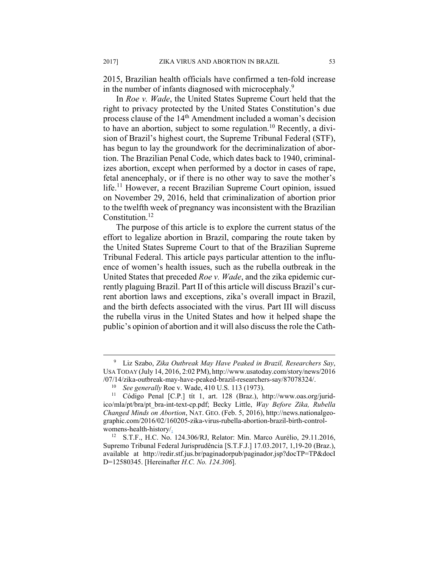2015, Brazilian health officials have confirmed a ten-fold increase in the number of infants diagnosed with microcephaly.<sup>9</sup>

In *Roe v. Wade*, the United States Supreme Court held that the right to privacy protected by the United States Constitution's due process clause of the 14<sup>th</sup> Amendment included a woman's decision to have an abortion, subject to some regulation.10 Recently, a division of Brazil's highest court, the Supreme Tribunal Federal (STF), has begun to lay the groundwork for the decriminalization of abortion. The Brazilian Penal Code, which dates back to 1940, criminalizes abortion, except when performed by a doctor in cases of rape, fetal anencephaly, or if there is no other way to save the mother's life.<sup>11</sup> However, a recent Brazilian Supreme Court opinion, issued on November 29, 2016, held that criminalization of abortion prior to the twelfth week of pregnancy was inconsistent with the Brazilian Constitution.<sup>12</sup>

The purpose of this article is to explore the current status of the effort to legalize abortion in Brazil, comparing the route taken by the United States Supreme Court to that of the Brazilian Supreme Tribunal Federal. This article pays particular attention to the influence of women's health issues, such as the rubella outbreak in the United States that preceded *Roe v. Wade*, and the zika epidemic currently plaguing Brazil. Part II of this article will discuss Brazil's current abortion laws and exceptions, zika's overall impact in Brazil, and the birth defects associated with the virus. Part III will discuss the rubella virus in the United States and how it helped shape the public's opinion of abortion and it will also discuss the role the Cath-

 $\frac{1}{9}$  Liz Szabo, *Zika Outbreak May Have Peaked in Brazil, Researchers Say*, USA TODAY (July 14, 2016, 2:02 PM), http://www.usatoday.com/story/news/2016 /07/14/zika-outbreak-may-have-peaked-brazil-researchers-say/87078324/. 10 *See generally* Roe v. Wade, 410 U.S. 113 (1973). 11 Código Penal [C.P.] tít 1, art. 128 (Braz.), http://www.oas.org/jurid-

ico/mla/pt/bra/pt\_bra-int-text-cp.pdf; Becky Little, *Way Before Zika, Rubella Changed Minds on Abortion*, NAT. GEO. (Feb. 5, 2016), http://news.nationalgeographic.com/2016/02/160205-zika-virus-rubella-abortion-brazil-birth-controlwomens-health-history/.

<sup>12</sup> S.T.F., H.C. No. 124.306/RJ, Relator: Min. Marco Aurélio, 29.11.2016, Supremo Tribunal Federal Jurisprudência [S.T.F.J.] 17.03.2017, 1,19-20 (Braz.), available at http://redir.stf.jus.br/paginadorpub/paginador.jsp?docTP=TP&docI D=12580345. [Hereinafter *H.C. No. 124.306*].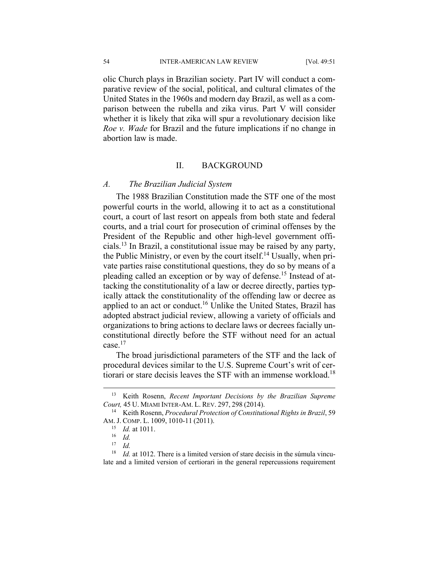54 INTER-AMERICAN LAW REVIEW [Vol. 49:51

olic Church plays in Brazilian society. Part IV will conduct a comparative review of the social, political, and cultural climates of the United States in the 1960s and modern day Brazil, as well as a comparison between the rubella and zika virus. Part V will consider whether it is likely that zika will spur a revolutionary decision like *Roe v. Wade* for Brazil and the future implications if no change in abortion law is made.

#### II. BACKGROUND

#### *A. The Brazilian Judicial System*

The 1988 Brazilian Constitution made the STF one of the most powerful courts in the world, allowing it to act as a constitutional court, a court of last resort on appeals from both state and federal courts, and a trial court for prosecution of criminal offenses by the President of the Republic and other high-level government officials.13 In Brazil, a constitutional issue may be raised by any party, the Public Ministry, or even by the court itself.<sup>14</sup> Usually, when private parties raise constitutional questions, they do so by means of a pleading called an exception or by way of defense.<sup>15</sup> Instead of attacking the constitutionality of a law or decree directly, parties typically attack the constitutionality of the offending law or decree as applied to an act or conduct.<sup>16</sup> Unlike the United States, Brazil has adopted abstract judicial review, allowing a variety of officials and organizations to bring actions to declare laws or decrees facially unconstitutional directly before the STF without need for an actual case<sup>17</sup>

The broad jurisdictional parameters of the STF and the lack of procedural devices similar to the U.S. Supreme Court's writ of certiorari or stare decisis leaves the STF with an immense workload.<sup>18</sup>

 <sup>13</sup> Keith Rosenn, *Recent Important Decisions by the Brazilian Supreme Court,* <sup>45</sup> U. MIAMI INTER-AM. L. REV. 297, <sup>298</sup> (2014). 14 Keith Rosenn, *Procedural Protection of Constitutional Rights in Brazil*, 59

AM. J. COMP. L. 1009, 1010-11 (2011).<br><sup>15</sup> *Id.* at 1011.<br><sup>16</sup> *Id.* 

 $\frac{17}{18}$  *Id.* 

*Id.* at 1012. There is a limited version of stare decisis in the súmula vinculate and a limited version of certiorari in the general repercussions requirement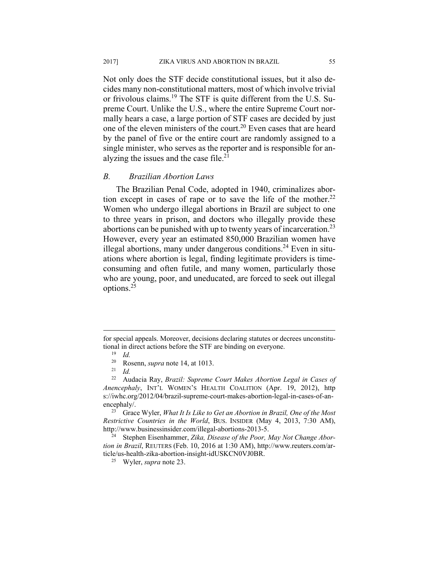Not only does the STF decide constitutional issues, but it also decides many non-constitutional matters, most of which involve trivial or frivolous claims.19 The STF is quite different from the U.S. Supreme Court. Unlike the U.S., where the entire Supreme Court normally hears a case, a large portion of STF cases are decided by just one of the eleven ministers of the court.20 Even cases that are heard by the panel of five or the entire court are randomly assigned to a single minister, who serves as the reporter and is responsible for analyzing the issues and the case file. $21$ 

#### *B. Brazilian Abortion Laws*

The Brazilian Penal Code, adopted in 1940, criminalizes abortion except in cases of rape or to save the life of the mother.<sup>22</sup> Women who undergo illegal abortions in Brazil are subject to one to three years in prison, and doctors who illegally provide these abortions can be punished with up to twenty years of incarceration.<sup>23</sup> However, every year an estimated 850,000 Brazilian women have illegal abortions, many under dangerous conditions.<sup>24</sup> Even in situations where abortion is legal, finding legitimate providers is timeconsuming and often futile, and many women, particularly those who are young, poor, and uneducated, are forced to seek out illegal options.25

 $\overline{a}$ 

*Restrictive Countries in the World*, BUS. INSIDER (May 4, 2013, 7:30 AM), http://www.businessinsider.com/illegal-abortions-2013-5. 24 Stephen Eisenhammer, *Zika, Disease of the Poor, May Not Change Abor-*

for special appeals. Moreover, decisions declaring statutes or decrees unconstitutional in direct actions before the STF are binding on everyone. 19 *Id.*

<sup>20</sup> Rosenn, *supra* note 14, at 1013. 21 *Id.*

<sup>22</sup> Audacia Ray, *Brazil: Supreme Court Makes Abortion Legal in Cases of Anencephaly*, INT'L WOMEN'S HEALTH COALITION (Apr. 19, 2012), http s://iwhc.org/2012/04/brazil-supreme-court-makes-abortion-legal-in-cases-of-anencephaly/.<br><sup>23</sup> Grace Wyler, *What It Is Like to Get an Abortion in Brazil, One of the Most* 

*tion in Brazil*, REUTERS (Feb. 10, 2016 at 1:30 AM), http://www.reuters.com/article/us-health-zika-abortion-insight-idUSKCN0VJ0BR. 25 Wyler, *supra* note 23.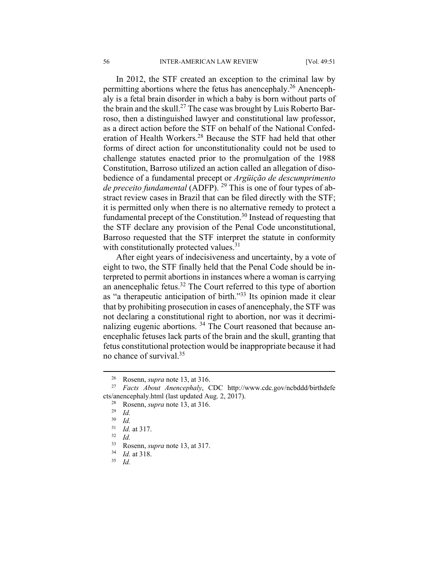In 2012, the STF created an exception to the criminal law by permitting abortions where the fetus has anencephaly.<sup>26</sup> Anencephaly is a fetal brain disorder in which a baby is born without parts of the brain and the skull.<sup>27</sup> The case was brought by Luis Roberto Barroso, then a distinguished lawyer and constitutional law professor, as a direct action before the STF on behalf of the National Confederation of Health Workers.<sup>28</sup> Because the STF had held that other forms of direct action for unconstitutionality could not be used to challenge statutes enacted prior to the promulgation of the 1988 Constitution, Barroso utilized an action called an allegation of disobedience of a fundamental precept or *Argüição de descumprimento de preceito fundamental* (ADFP). 29 This is one of four types of abstract review cases in Brazil that can be filed directly with the STF; it is permitted only when there is no alternative remedy to protect a fundamental precept of the Constitution.<sup>30</sup> Instead of requesting that the STF declare any provision of the Penal Code unconstitutional, Barroso requested that the STF interpret the statute in conformity with constitutionally protected values.<sup>31</sup>

After eight years of indecisiveness and uncertainty, by a vote of eight to two, the STF finally held that the Penal Code should be interpreted to permit abortions in instances where a woman is carrying an anencephalic fetus. $32$  The Court referred to this type of abortion as "a therapeutic anticipation of birth."33 Its opinion made it clear that by prohibiting prosecution in cases of anencephaly, the STF was not declaring a constitutional right to abortion, nor was it decriminalizing eugenic abortions.<sup>34</sup> The Court reasoned that because anencephalic fetuses lack parts of the brain and the skull, granting that fetus constitutional protection would be inappropriate because it had no chance of survival.35

 <sup>26</sup> Rosenn, *supra* note 13, at 316. 27 *Facts About Anencephaly*, CDC http://www.cdc.gov/ncbddd/birthdefe cts/anencephaly.html (last updated Aug. 2, 2017). 28 Rosenn, *supra* note 13, at 316. 29 *Id.*

<sup>30</sup> *Id.*

<sup>31</sup> *Id.* at 317. 32 *Id.*

<sup>33</sup> Rosenn, *supra* note 13, at 317. 34 *Id.* at 318. 35 *Id.*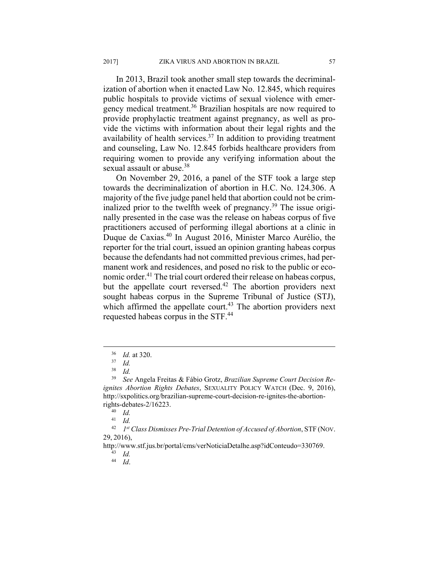In 2013, Brazil took another small step towards the decriminalization of abortion when it enacted Law No. 12.845, which requires public hospitals to provide victims of sexual violence with emergency medical treatment.36 Brazilian hospitals are now required to provide prophylactic treatment against pregnancy, as well as provide the victims with information about their legal rights and the

availability of health services.<sup>37</sup> In addition to providing treatment and counseling, Law No. 12.845 forbids healthcare providers from requiring women to provide any verifying information about the sexual assault or abuse.<sup>38</sup>

On November 29, 2016, a panel of the STF took a large step towards the decriminalization of abortion in H.C. No. 124.306. A majority of the five judge panel held that abortion could not be criminalized prior to the twelfth week of pregnancy.<sup>39</sup> The issue originally presented in the case was the release on habeas corpus of five practitioners accused of performing illegal abortions at a clinic in Duque de Caxias.40 In August 2016, Minister Marco Aurélio, the reporter for the trial court, issued an opinion granting habeas corpus because the defendants had not committed previous crimes, had permanent work and residences, and posed no risk to the public or economic order.<sup>41</sup> The trial court ordered their release on habeas corpus, but the appellate court reversed.<sup>42</sup> The abortion providers next sought habeas corpus in the Supreme Tribunal of Justice (STJ), which affirmed the appellate court.<sup>43</sup> The abortion providers next requested habeas corpus in the STF.<sup>44</sup>

<sup>36</sup> *Id.* at 320. 37 *Id.*

*Id.* 

<sup>39</sup> *See* Angela Freitas & Fábio Grotz, *Brazilian Supreme Court Decision Reignites Abortion Rights Debates*, SEXUALITY POLICY WATCH (Dec. 9, 2016), http://sxpolitics.org/brazilian-supreme-court-decision-re-ignites-the-abortionrights-debates-2/16223. 40 *Id.*

<sup>41</sup> *Id.*

<sup>42</sup> *1st Class Dismisses Pre-Trial Detention of Accused of Abortion*, STF (NOV. 29, 2016),

http://www.stf.jus.br/portal/cms/verNoticiaDetalhe.asp?idConteudo=330769. 43 *Id.*

<sup>44</sup> *Id*.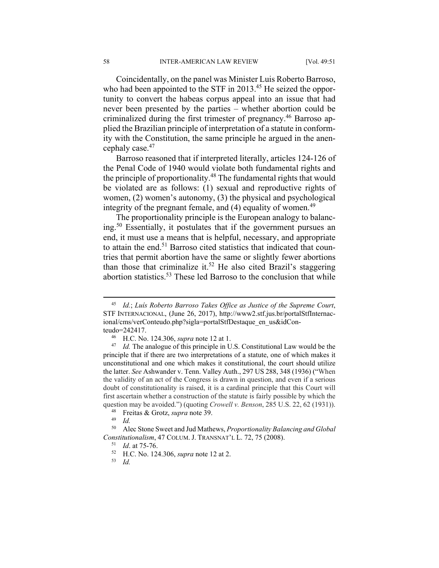Coincidentally, on the panel was Minister Luis Roberto Barroso, who had been appointed to the STF in 2013.<sup>45</sup> He seized the opportunity to convert the habeas corpus appeal into an issue that had never been presented by the parties – whether abortion could be criminalized during the first trimester of pregnancy.<sup>46</sup> Barroso applied the Brazilian principle of interpretation of a statute in conformity with the Constitution, the same principle he argued in the anencephaly case.47

Barroso reasoned that if interpreted literally, articles 124-126 of the Penal Code of 1940 would violate both fundamental rights and the principle of proportionality.48 The fundamental rights that would be violated are as follows: (1) sexual and reproductive rights of women, (2) women's autonomy, (3) the physical and psychological integrity of the pregnant female, and  $(4)$  equality of women.<sup>49</sup>

The proportionality principle is the European analogy to balancing.50 Essentially, it postulates that if the government pursues an end, it must use a means that is helpful, necessary, and appropriate to attain the end.51 Barroso cited statistics that indicated that countries that permit abortion have the same or slightly fewer abortions than those that criminalize it.<sup>52</sup> He also cited Brazil's staggering abortion statistics.<sup>53</sup> These led Barroso to the conclusion that while

 <sup>45</sup> *Id.*; *Luís Roberto Barroso Takes Office as Justice of the Supreme Court*, STF INTERNACIONAL, (June 26, 2017), http://www2.stf.jus.br/portalStfInternacional/cms/verConteudo.php?sigla=portalStfDestaque\_en\_us&idConteudo=242417. 46 H.C. No. 124.306, *supra* note 12 at 1. 47 *Id.* The analogue of this principle in U.S. Constitutional Law would be the

principle that if there are two interpretations of a statute, one of which makes it unconstitutional and one which makes it constitutional, the court should utilize the latter. *See* Ashwander v. Tenn. Valley Auth., 297 US 288, 348 (1936) ("When the validity of an act of the Congress is drawn in question, and even if a serious doubt of constitutionality is raised, it is a cardinal principle that this Court will first ascertain whether a construction of the statute is fairly possible by which the question may be avoided.") (quoting *Crowell v. Benson*, 285 U.S. 22, 62 (1931)).

<sup>48</sup> Freitas & Grotz, *supra* note 39. 49 *Id.*

<sup>50</sup> Alec Stone Sweet and Jud Mathews, *Proportionality Balancing and Global Constitutionalism*, 47 COLUM. J. TRANSNAT'L L. 72, 75 (2008).<br><sup>51</sup> *Id.* at 75-76.<br><sup>52</sup> H.C. No. 124.306, *supra* note 12 at 2.<br><sup>53</sup> *Id.*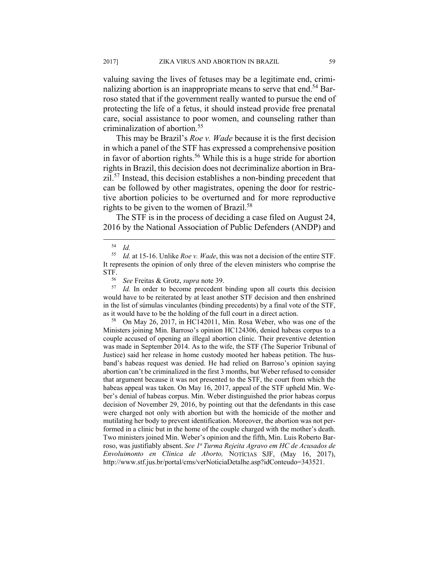valuing saving the lives of fetuses may be a legitimate end, criminalizing abortion is an inappropriate means to serve that end.<sup>54</sup> Barroso stated that if the government really wanted to pursue the end of protecting the life of a fetus, it should instead provide free prenatal care, social assistance to poor women, and counseling rather than criminalization of abortion.55

This may be Brazil's *Roe v. Wade* because it is the first decision in which a panel of the STF has expressed a comprehensive position in favor of abortion rights.56 While this is a huge stride for abortion rights in Brazil, this decision does not decriminalize abortion in Brazil.57 Instead, this decision establishes a non-binding precedent that can be followed by other magistrates, opening the door for restrictive abortion policies to be overturned and for more reproductive rights to be given to the women of Brazil.58

The STF is in the process of deciding a case filed on August 24, 2016 by the National Association of Public Defenders (ANDP) and

Id. In order to become precedent binding upon all courts this decision would have to be reiterated by at least another STF decision and then enshrined in the list of súmulas vinculantes (binding precedents) by a final vote of the STF,

as it would have to be the holding of the full court in a direct action. 58 On May 26, 2017, in HC142011, Min. Rosa Weber, who was one of the Ministers joining Min. Barroso's opinion HC124306, denied habeas corpus to a couple accused of opening an illegal abortion clinic. Their preventive detention was made in September 2014. As to the wife, the STF (The Superior Tribunal of Justice) said her release in home custody mooted her habeas petition. The husband's habeas request was denied. He had relied on Barroso's opinion saying abortion can't be criminalized in the first 3 months, but Weber refused to consider that argument because it was not presented to the STF, the court from which the habeas appeal was taken. On May 16, 2017, appeal of the STF upheld Min. Weber's denial of habeas corpus. Min. Weber distinguished the prior habeas corpus decision of November 29, 2016, by pointing out that the defendants in this case were charged not only with abortion but with the homicide of the mother and mutilating her body to prevent identification. Moreover, the abortion was not performed in a clinic but in the home of the couple charged with the mother's death. Two ministers joined Min. Weber's opinion and the fifth, Min. Luis Roberto Barroso, was justifiably absent. *See 1a Turma Rejeita Agravo em HC de Acusados de Envoluimonto en Clinica de Aborto,* NOTÍCIAS SJF, (May 16, 2017), http://www.stf.jus.br/portal/cms/verNoticiaDetalhe.asp?idConteudo=343521.

 <sup>54</sup> *Id.* 

<sup>55</sup> *Id.* at 15-16. Unlike *Roe v. Wade*, this was not a decision of the entire STF. It represents the opinion of only three of the eleven ministers who comprise the STF. 56 *See* Freitas & Grotz, *supra* note 39.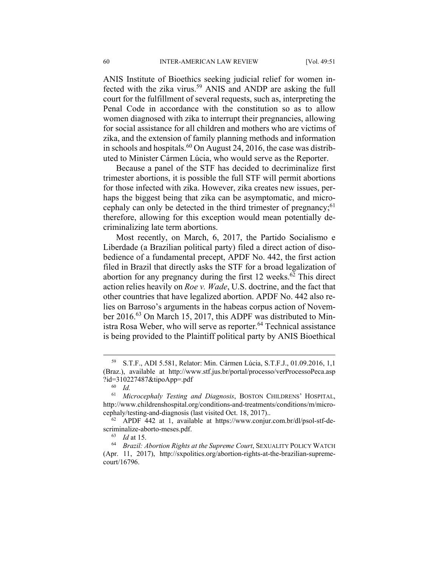ANIS Institute of Bioethics seeking judicial relief for women infected with the zika virus.<sup>59</sup> ANIS and ANDP are asking the full court for the fulfillment of several requests, such as, interpreting the Penal Code in accordance with the constitution so as to allow women diagnosed with zika to interrupt their pregnancies, allowing for social assistance for all children and mothers who are victims of zika, and the extension of family planning methods and information in schools and hospitals.<sup>60</sup> On August 24, 2016, the case was distributed to Minister Cármen Lúcia, who would serve as the Reporter.

Because a panel of the STF has decided to decriminalize first trimester abortions, it is possible the full STF will permit abortions for those infected with zika. However, zika creates new issues, perhaps the biggest being that zika can be asymptomatic, and microcephaly can only be detected in the third trimester of pregnancy;<sup>61</sup> therefore, allowing for this exception would mean potentially decriminalizing late term abortions.

Most recently, on March, 6, 2017, the Partido Socialismo e Liberdade (a Brazilian political party) filed a direct action of disobedience of a fundamental precept, APDF No. 442, the first action filed in Brazil that directly asks the STF for a broad legalization of abortion for any pregnancy during the first 12 weeks.<sup>62</sup> This direct action relies heavily on *Roe v. Wade*, U.S. doctrine, and the fact that other countries that have legalized abortion. APDF No. 442 also relies on Barroso's arguments in the habeas corpus action of November 2016.<sup>63</sup> On March 15, 2017, this ADPF was distributed to Ministra Rosa Weber, who will serve as reporter.<sup>64</sup> Technical assistance is being provided to the Plaintiff political party by ANIS Bioethical

 <sup>59</sup> S.T.F., ADI 5.581, Relator: Min. Cármen Lúcia, S.T.F.J., 01.09.2016, 1,1 (Braz.), available at http://www.stf.jus.br/portal/processo/verProcessoPeca.asp ?id=310227487&tipoApp=.pdf 60 *Id.*

<sup>61</sup> *Microcephaly Testing and Diagnosis*, BOSTON CHILDRENS' HOSPITAL, http://www.childrenshospital.org/conditions-and-treatments/conditions/m/micro-

cephaly/testing-and-diagnosis (last visited Oct. 18, 2017).. 62 APDF 442 at 1, available at https://www.conjur.com.br/dl/psol-stf-de-

scriminalize-aborto-meses.pdf.<br><sup>63</sup> *Id* at 15.<br><sup>64</sup> *Brazil: Abortion Rights at the Supreme Court*, SEXUALITY POLICY WATCH (Apr. 11, 2017), http://sxpolitics.org/abortion-rights-at-the-brazilian-supremecourt/16796.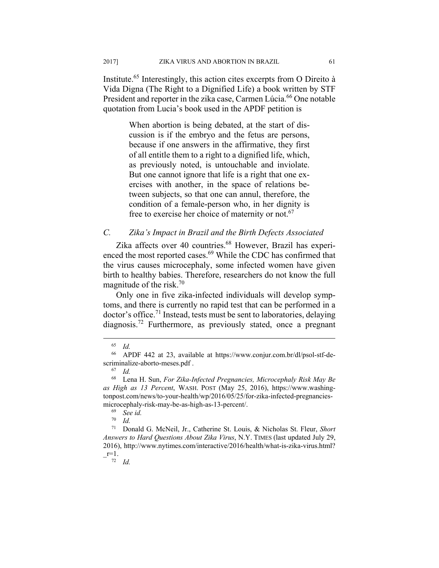Institute.65 Interestingly, this action cites excerpts from O Direito à Vida Digna (The Right to a Dignified Life) a book written by STF President and reporter in the zika case, Carmen Lúcia.<sup>66</sup> One notable quotation from Lucia's book used in the APDF petition is

> When abortion is being debated, at the start of discussion is if the embryo and the fetus are persons, because if one answers in the affirmative, they first of all entitle them to a right to a dignified life, which, as previously noted, is untouchable and inviolate. But one cannot ignore that life is a right that one exercises with another, in the space of relations between subjects, so that one can annul, therefore, the condition of a female-person who, in her dignity is free to exercise her choice of maternity or not.<sup>67</sup>

#### *C. Zika's Impact in Brazil and the Birth Defects Associated*

Zika affects over 40 countries.<sup>68</sup> However, Brazil has experienced the most reported cases.<sup>69</sup> While the CDC has confirmed that the virus causes microcephaly, some infected women have given birth to healthy babies. Therefore, researchers do not know the full magnitude of the risk.<sup>70</sup>

Only one in five zika-infected individuals will develop symptoms, and there is currently no rapid test that can be performed in a doctor's office.71 Instead, tests must be sent to laboratories, delaying diagnosis.72 Furthermore, as previously stated, once a pregnant

 <sup>65</sup> *Id.*

<sup>66</sup> APDF 442 at 23, available at https://www.conjur.com.br/dl/psol-stf-descriminalize-aborto-meses.pdf .<br><sup>67</sup> *Id.* 

<sup>68</sup> Lena H. Sun, *For Zika-Infected Pregnancies, Microcephaly Risk May Be as High as 13 Percent*, WASH. POST (May 25, 2016), https://www.washingtonpost.com/news/to-your-health/wp/2016/05/25/for-zika-infected-pregnanciesmicrocephaly-risk-may-be-as-high-as-13-percent/.<br><sup>69</sup> *See id.*<br>70 *Id* 

<sup>70</sup> *Id.*

<sup>71</sup> Donald G. McNeil, Jr., Catherine St. Louis, & Nicholas St. Fleur, *Short Answers to Hard Questions About Zika Virus*, N.Y. TIMES (last updated July 29, 2016), http://www.nytimes.com/interactive/2016/health/what-is-zika-virus.html?  $-$ <sup>r=1</sup> $\cdot$  *Id.*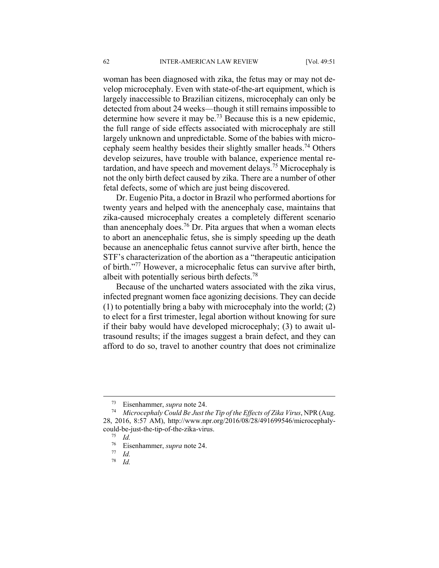woman has been diagnosed with zika, the fetus may or may not develop microcephaly. Even with state-of-the-art equipment, which is largely inaccessible to Brazilian citizens, microcephaly can only be detected from about 24 weeks—though it still remains impossible to determine how severe it may be.<sup>73</sup> Because this is a new epidemic, the full range of side effects associated with microcephaly are still largely unknown and unpredictable. Some of the babies with microcephaly seem healthy besides their slightly smaller heads.74 Others develop seizures, have trouble with balance, experience mental retardation, and have speech and movement delays.75 Microcephaly is not the only birth defect caused by zika. There are a number of other fetal defects, some of which are just being discovered.

Dr. Eugenio Pita, a doctor in Brazil who performed abortions for twenty years and helped with the anencephaly case, maintains that zika-caused microcephaly creates a completely different scenario than anencephaly does.<sup>76</sup> Dr. Pita argues that when a woman elects to abort an anencephalic fetus, she is simply speeding up the death because an anencephalic fetus cannot survive after birth, hence the STF's characterization of the abortion as a "therapeutic anticipation of birth."77 However, a microcephalic fetus can survive after birth, albeit with potentially serious birth defects.<sup>78</sup>

Because of the uncharted waters associated with the zika virus, infected pregnant women face agonizing decisions. They can decide (1) to potentially bring a baby with microcephaly into the world; (2) to elect for a first trimester, legal abortion without knowing for sure if their baby would have developed microcephaly; (3) to await ultrasound results; if the images suggest a brain defect, and they can afford to do so, travel to another country that does not criminalize

78 *Id.*

 <sup>73</sup> Eisenhammer, *supra* note 24. 74 *Microcephaly Could Be Just the Tip of the Effects of Zika Virus*, NPR(Aug. 28, 2016, 8:57 AM), http://www.npr.org/2016/08/28/491699546/microcephalycould-be-just-the-tip-of-the-zika-virus. 75 *Id.*

<sup>76</sup> Eisenhammer, *supra* note 24. 77 *Id.*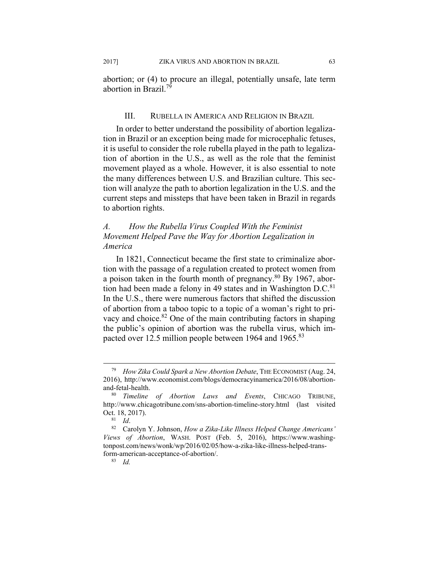2017] ZIKA VIRUS AND ABORTION IN BRAZIL 63

abortion; or (4) to procure an illegal, potentially unsafe, late term abortion in Brazil<sup>79</sup>

## III. RUBELLA IN AMERICA AND RELIGION IN BRAZIL

In order to better understand the possibility of abortion legalization in Brazil or an exception being made for microcephalic fetuses, it is useful to consider the role rubella played in the path to legalization of abortion in the U.S., as well as the role that the feminist movement played as a whole. However, it is also essential to note the many differences between U.S. and Brazilian culture. This section will analyze the path to abortion legalization in the U.S. and the current steps and missteps that have been taken in Brazil in regards to abortion rights.

# *A. How the Rubella Virus Coupled With the Feminist Movement Helped Pave the Way for Abortion Legalization in America*

In 1821, Connecticut became the first state to criminalize abortion with the passage of a regulation created to protect women from a poison taken in the fourth month of pregnancy.80 By 1967, abortion had been made a felony in 49 states and in Washington  $D.C.<sup>81</sup>$ In the U.S., there were numerous factors that shifted the discussion of abortion from a taboo topic to a topic of a woman's right to privacy and choice.<sup>82</sup> One of the main contributing factors in shaping the public's opinion of abortion was the rubella virus, which impacted over 12.5 million people between 1964 and 1965.<sup>83</sup>

 <sup>79</sup> *How Zika Could Spark a New Abortion Debate*, THE ECONOMIST (Aug. 24, 2016), http://www.economist.com/blogs/democracyinamerica/2016/08/abortion-

and-fetal-health. 80 *Timeline of Abortion Laws and Events*, CHICAGO TRIBUNE, http://www.chicagotribune.com/sns-abortion-timeline-story.html (last visited Oct. 18, 2017).<br><sup>81</sup> *Id.* 82 Carolyn Y. Johnson, *How a Zika-Like Illness Helped Change Americans'* 

*Views of Abortion*, WASH. POST (Feb. 5, 2016), https://www.washingtonpost.com/news/wonk/wp/2016/02/05/how-a-zika-like-illness-helped-transform-american-acceptance-of-abortion/. 83 *Id.*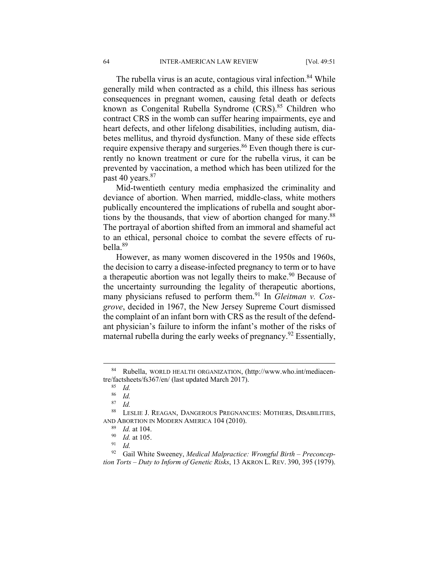The rubella virus is an acute, contagious viral infection.<sup>84</sup> While generally mild when contracted as a child, this illness has serious consequences in pregnant women, causing fetal death or defects known as Congenital Rubella Syndrome (CRS).<sup>85</sup> Children who contract CRS in the womb can suffer hearing impairments, eye and heart defects, and other lifelong disabilities, including autism, diabetes mellitus, and thyroid dysfunction. Many of these side effects require expensive therapy and surgeries.<sup>86</sup> Even though there is currently no known treatment or cure for the rubella virus, it can be prevented by vaccination, a method which has been utilized for the past 40 years.<sup>87</sup>

Mid-twentieth century media emphasized the criminality and deviance of abortion. When married, middle-class, white mothers publically encountered the implications of rubella and sought abortions by the thousands, that view of abortion changed for many.<sup>88</sup> The portrayal of abortion shifted from an immoral and shameful act to an ethical, personal choice to combat the severe effects of rubella.89

However, as many women discovered in the 1950s and 1960s, the decision to carry a disease-infected pregnancy to term or to have a therapeutic abortion was not legally theirs to make.<sup>90</sup> Because of the uncertainty surrounding the legality of therapeutic abortions, many physicians refused to perform them.<sup>91</sup> In *Gleitman v. Cosgrove*, decided in 1967, the New Jersey Supreme Court dismissed the complaint of an infant born with CRS as the result of the defendant physician's failure to inform the infant's mother of the risks of maternal rubella during the early weeks of pregnancy.<sup>92</sup> Essentially,

 <sup>84</sup> Rubella, WORLD HEALTH ORGANIZATION, (http://www.who.int/mediacentre/factsheets/fs367/en/ (last updated March 2017). 85 *Id.*

<sup>86</sup> *Id.*

<sup>87</sup> *Id.*

<sup>88</sup> LESLIE J. REAGAN, DANGEROUS PREGNANCIES: MOTHERS, DISABILITIES, AND ABORTION IN MODERN AMERICA 104 (2010).<br><sup>89</sup> *Id.* at 104.<br><sup>90</sup> *Id.* at 105.<br><sup>91</sup> *Id.* 

<sup>92</sup> Gail White Sweeney, *Medical Malpractice: Wrongful Birth – Preconception Torts – Duty to Inform of Genetic Risks*, 13 AKRON L. REV. 390, 395 (1979).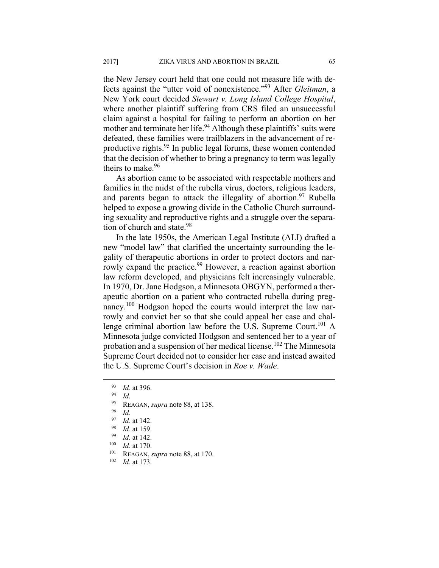the New Jersey court held that one could not measure life with defects against the "utter void of nonexistence."93 After *Gleitman*, a New York court decided *Stewart v. Long Island College Hospital*, where another plaintiff suffering from CRS filed an unsuccessful claim against a hospital for failing to perform an abortion on her mother and terminate her life.<sup>94</sup> Although these plaintiffs' suits were defeated, these families were trailblazers in the advancement of reproductive rights.<sup>95</sup> In public legal forums, these women contended that the decision of whether to bring a pregnancy to term was legally theirs to make.<sup>96</sup>

As abortion came to be associated with respectable mothers and families in the midst of the rubella virus, doctors, religious leaders, and parents began to attack the illegality of abortion.<sup>97</sup> Rubella helped to expose a growing divide in the Catholic Church surrounding sexuality and reproductive rights and a struggle over the separation of church and state.<sup>98</sup>

In the late 1950s, the American Legal Institute (ALI) drafted a new "model law" that clarified the uncertainty surrounding the legality of therapeutic abortions in order to protect doctors and narrowly expand the practice.<sup>99</sup> However, a reaction against abortion law reform developed, and physicians felt increasingly vulnerable. In 1970, Dr. Jane Hodgson, a Minnesota OBGYN, performed a therapeutic abortion on a patient who contracted rubella during pregnancy.<sup>100</sup> Hodgson hoped the courts would interpret the law narrowly and convict her so that she could appeal her case and challenge criminal abortion law before the U.S. Supreme Court.<sup>101</sup> A Minnesota judge convicted Hodgson and sentenced her to a year of probation and a suspension of her medical license.<sup>102</sup> The Minnesota Supreme Court decided not to consider her case and instead awaited the U.S. Supreme Court's decision in *Roe v. Wade*.

- 97 *Id.* at 142.<br>
98 *Id.* at 159.<br>
99 *Id.* at 142.<br>
100 *Id.* at 170.<br>
101 REAGAN, *supra* note 88, at 170.<br>
102 *Id.* at 173.
- 

<sup>93</sup> *Id.* at 396.<br><sup>94</sup> *Id.*<br><sup>95</sup> REAGAN, *supra* note 88, at 138.<br><sup>96</sup> *Id.*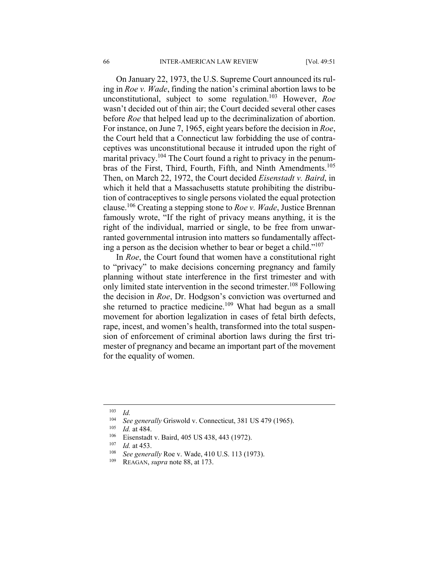On January 22, 1973, the U.S. Supreme Court announced its ruling in *Roe v. Wade*, finding the nation's criminal abortion laws to be unconstitutional, subject to some regulation.103 However, *Roe*  wasn't decided out of thin air; the Court decided several other cases before *Roe* that helped lead up to the decriminalization of abortion. For instance, on June 7, 1965, eight years before the decision in *Roe*, the Court held that a Connecticut law forbidding the use of contraceptives was unconstitutional because it intruded upon the right of marital privacy.<sup>104</sup> The Court found a right to privacy in the penumbras of the First, Third, Fourth, Fifth, and Ninth Amendments.<sup>105</sup> Then, on March 22, 1972, the Court decided *Eisenstadt v. Baird*, in which it held that a Massachusetts statute prohibiting the distribution of contraceptives to single persons violated the equal protection clause.106 Creating a stepping stone to *Roe v. Wade*, Justice Brennan famously wrote, "If the right of privacy means anything, it is the right of the individual, married or single, to be free from unwarranted governmental intrusion into matters so fundamentally affecting a person as the decision whether to bear or beget a child." $107$ 

In *Roe*, the Court found that women have a constitutional right to "privacy" to make decisions concerning pregnancy and family planning without state interference in the first trimester and with only limited state intervention in the second trimester.<sup>108</sup> Following the decision in *Roe*, Dr. Hodgson's conviction was overturned and she returned to practice medicine.<sup>109</sup> What had begun as a small movement for abortion legalization in cases of fetal birth defects, rape, incest, and women's health, transformed into the total suspension of enforcement of criminal abortion laws during the first trimester of pregnancy and became an important part of the movement for the equality of women.

1

 $\frac{103}{104}$  *Id.* 

<sup>&</sup>lt;sup>104</sup> See generally Griswold v. Connecticut, 381 US 479 (1965).<br>
<sup>105</sup> Id. at 484.<br>
Eisenstadt v. Baird, 405 US 438, 443 (1972).<br>
<sup>107</sup> Id. at 453.<br>
<sup>108</sup> See generally Roe v. Wade, 410 U.S. 113 (1973).<br>
<sup>109</sup> REAGAN, *su*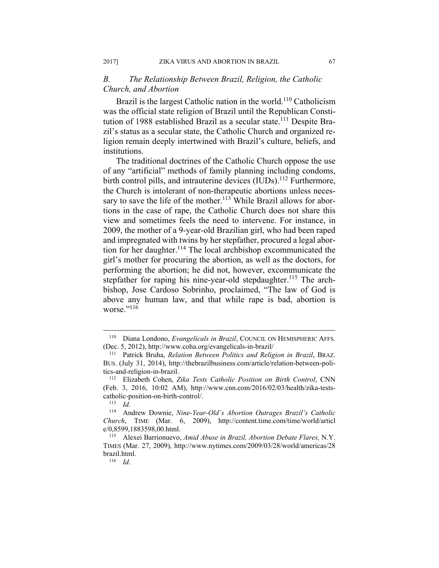# *B. The Relationship Between Brazil, Religion, the Catholic Church, and Abortion*

Brazil is the largest Catholic nation in the world.<sup>110</sup> Catholicism was the official state religion of Brazil until the Republican Constitution of 1988 established Brazil as a secular state.<sup>111</sup> Despite Brazil's status as a secular state, the Catholic Church and organized religion remain deeply intertwined with Brazil's culture, beliefs, and institutions.

The traditional doctrines of the Catholic Church oppose the use of any "artificial" methods of family planning including condoms, birth control pills, and intrauterine devices  $(IUDs)$ .<sup>112</sup> Furthermore, the Church is intolerant of non-therapeutic abortions unless necessary to save the life of the mother.<sup>113</sup> While Brazil allows for abortions in the case of rape, the Catholic Church does not share this view and sometimes feels the need to intervene. For instance, in 2009, the mother of a 9-year-old Brazilian girl, who had been raped and impregnated with twins by her stepfather, procured a legal abortion for her daughter.<sup>114</sup> The local archbishop excommunicated the girl's mother for procuring the abortion, as well as the doctors, for performing the abortion; he did not, however, excommunicate the stepfather for raping his nine-year-old stepdaughter.<sup>115</sup> The archbishop, Jose Cardoso Sobrinho, proclaimed, "The law of God is above any human law, and that while rape is bad, abortion is worse."116

<sup>&</sup>lt;sup>110</sup> Diana Londono, *Evangelicals in Brazil*, COUNCIL ON HEMISPHERIC AFFS. (Dec. 5, 2012), http://www.coha.org/evangelicals-in-brazil/ 111 Patrick Bruha, *Relation Between Politics and Religion in Brazil*, BRAZ.

BUS. (July 31, 2014), http://thebrazilbusiness.com/article/relation-between-politics-and-religion-in-brazil. 112 Elizabeth Cohen, *Zika Tests Catholic Position on Birth Control*, CNN

<sup>(</sup>Feb. 3, 2016, 10:02 AM), http://www.cnn.com/2016/02/03/health/zika-testscatholic-position-on-birth-control/. 113 *Id*. 114 Andrew Downie, *Nine-Year-Old's Abortion Outrages Brazil's Catholic* 

*Church*, TIME (Mar. 6, 2009), http://content.time.com/time/world/articl e/0,8599,1883598,00.html.<br><sup>115</sup> Alexei Barrionuevo, *Amid Abuse in Brazil, Abortion Debate Flares, N.Y.* 

TIMES (Mar. 27, 2009), http://www.nytimes.com/2009/03/28/world/americas/28 brazil.html. 116 *Id*.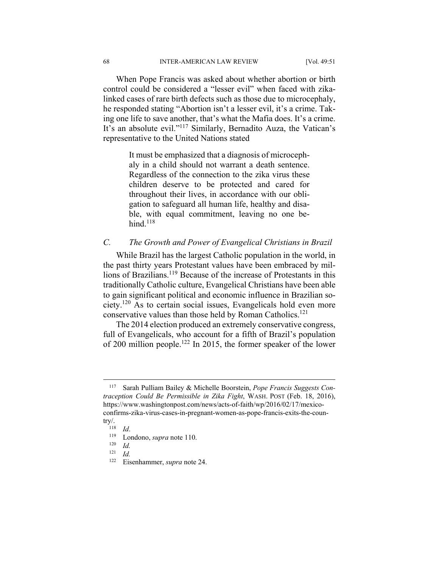When Pope Francis was asked about whether abortion or birth control could be considered a "lesser evil" when faced with zikalinked cases of rare birth defects such as those due to microcephaly, he responded stating "Abortion isn't a lesser evil, it's a crime. Taking one life to save another, that's what the Mafia does. It's a crime. It's an absolute evil."117 Similarly, Bernadito Auza, the Vatican's representative to the United Nations stated

> It must be emphasized that a diagnosis of microcephaly in a child should not warrant a death sentence. Regardless of the connection to the zika virus these children deserve to be protected and cared for throughout their lives, in accordance with our obligation to safeguard all human life, healthy and disable, with equal commitment, leaving no one behind. $118$

# *C. The Growth and Power of Evangelical Christians in Brazil*

While Brazil has the largest Catholic population in the world, in the past thirty years Protestant values have been embraced by millions of Brazilians.<sup>119</sup> Because of the increase of Protestants in this traditionally Catholic culture, Evangelical Christians have been able to gain significant political and economic influence in Brazilian society.120 As to certain social issues, Evangelicals hold even more conservative values than those held by Roman Catholics.<sup>121</sup>

The 2014 election produced an extremely conservative congress, full of Evangelicals, who account for a fifth of Brazil's population of 200 million people.122 In 2015, the former speaker of the lower

1

<sup>117</sup> Sarah Pulliam Bailey & Michelle Boorstein, *Pope Francis Suggests Contraception Could Be Permissible in Zika Fight*, WASH. POST (Feb. 18, 2016), https://www.washingtonpost.com/news/acts-of-faith/wp/2016/02/17/mexicoconfirms-zika-virus-cases-in-pregnant-women-as-pope-francis-exits-the-coun-

try/.<br><sup>118</sup> *Id.*<br><sup>119</sup> Londono, *supra* note 110.<br><sup>121</sup> *Id.* 

 $\frac{121}{122}$  *Id.* 

Eisenhammer, *supra* note 24.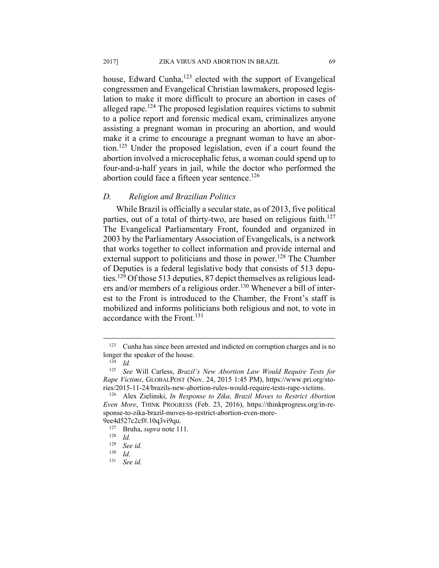house, Edward Cunha, $123$  elected with the support of Evangelical congressmen and Evangelical Christian lawmakers, proposed legislation to make it more difficult to procure an abortion in cases of alleged rape.124 The proposed legislation requires victims to submit to a police report and forensic medical exam, criminalizes anyone assisting a pregnant woman in procuring an abortion, and would make it a crime to encourage a pregnant woman to have an abortion.125 Under the proposed legislation, even if a court found the abortion involved a microcephalic fetus, a woman could spend up to four-and-a-half years in jail, while the doctor who performed the abortion could face a fifteen year sentence.<sup>126</sup>

### *D. Religion and Brazilian Politics*

While Brazil is officially a secular state, as of 2013, five political parties, out of a total of thirty-two, are based on religious faith.<sup>127</sup> The Evangelical Parliamentary Front, founded and organized in 2003 by the Parliamentary Association of Evangelicals, is a network that works together to collect information and provide internal and external support to politicians and those in power.<sup>128</sup> The Chamber of Deputies is a federal legislative body that consists of 513 deputies.<sup>129</sup> Of those 513 deputies, 87 depict themselves as religious leaders and/or members of a religious order.130 Whenever a bill of interest to the Front is introduced to the Chamber, the Front's staff is mobilized and informs politicians both religious and not, to vote in accordance with the Front.<sup>131</sup>

<sup>&</sup>lt;sup>123</sup> Cunha has since been arrested and indicted on corruption charges and is no longer the speaker of the house.<br><sup>124</sup> *Id.*<br><sup>125</sup> See Will Carless Brazil

<sup>125</sup> *See* Will Carless, *Brazil's New Abortion Law Would Require Tests for Rape Victims*, GLOBALPOST (Nov. 24, 2015 1:45 PM), https://www.pri.org/sto-

ries/2015-11-24/brazils-new-abortion-rules-would-require-tests-rape-victims. 126 Alex Zielinski, *In Response to Zika, Brazil Moves to Restrict Abortion Even More*, THINK PROGRESS (Feb. 23, 2016), https://thinkprogress.org/in-response-to-zika-brazil-moves-to-restrict-abortion-even-more-

<sup>9</sup>ee4d527c2cf#.10q3vi9qu.<br><sup>127</sup> Bruha, *supra* note 111.<br><sup>128</sup> *Id.* 

<sup>129</sup> *See id.*

 $\frac{130}{131}$  *Id.* 

See id.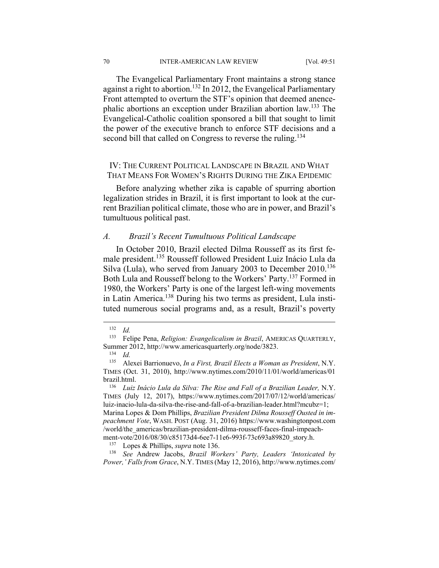70 INTER-AMERICAN LAW REVIEW [Vol. 49:51

The Evangelical Parliamentary Front maintains a strong stance against a right to abortion.132 In 2012, the Evangelical Parliamentary Front attempted to overturn the STF's opinion that deemed anencephalic abortions an exception under Brazilian abortion law.133 The Evangelical-Catholic coalition sponsored a bill that sought to limit the power of the executive branch to enforce STF decisions and a second bill that called on Congress to reverse the ruling.<sup>134</sup>

# IV: THE CURRENT POLITICAL LANDSCAPE IN BRAZIL AND WHAT THAT MEANS FOR WOMEN'S RIGHTS DURING THE ZIKA EPIDEMIC

Before analyzing whether zika is capable of spurring abortion legalization strides in Brazil, it is first important to look at the current Brazilian political climate, those who are in power, and Brazil's tumultuous political past.

#### *A. Brazil's Recent Tumultuous Political Landscape*

In October 2010, Brazil elected Dilma Rousseff as its first female president.135 Rousseff followed President Luiz Inácio Lula da Silva (Lula), who served from January 2003 to December 2010.<sup>136</sup> Both Lula and Rousseff belong to the Workers' Party.137 Formed in 1980, the Workers' Party is one of the largest left-wing movements in Latin America.138 During his two terms as president, Lula instituted numerous social programs and, as a result, Brazil's poverty

<u>.</u>

*Power,' Falls from Grace*, N.Y. TIMES (May 12, 2016), http://www.nytimes.com/

<sup>132</sup> *Id.*

<sup>133</sup> Felipe Pena, *Religion: Evangelicalism in Brazil*, AMERICAS QUARTERLY, Summer 2012, http://www.americasquarterly.org/node/3823.<br><sup>134</sup> *Id.*<br><sup>135</sup> Alexei Barrionueyo *In a First Brazil Elects a Woman* 

<sup>135</sup> Alexei Barrionuevo, *In a First, Brazil Elects a Woman as President*, N.Y. TIMES (Oct. 31, 2010), http://www.nytimes.com/2010/11/01/world/americas/01 brazil.html. 136 *Luiz Inácio Lula da Silva: The Rise and Fall of a Brazilian Leader,* N.Y.

TIMES (July 12, 2017), https://www.nytimes.com/2017/07/12/world/americas/ luiz-inacio-lula-da-silva-the-rise-and-fall-of-a-brazilian-leader.html?mcubz=1; Marina Lopes & Dom Phillips, *Brazilian President Dilma Rousseff Ousted in impeachment Vote*, WASH. POST (Aug. 31, 2016) https://www.washingtonpost.com /world/the\_americas/brazilian-president-dilma-rousseff-faces-final-impeachment-vote/2016/08/30/c85173d4-6ee7-11e6-993f-73c693a89820\_story.h.<br><sup>137</sup> Lopes & Phillips, *supra* note 136.<br><sup>138</sup> *See* Andrew Jacobs, *Brazil Workers' Party, Leaders 'Intoxicated by*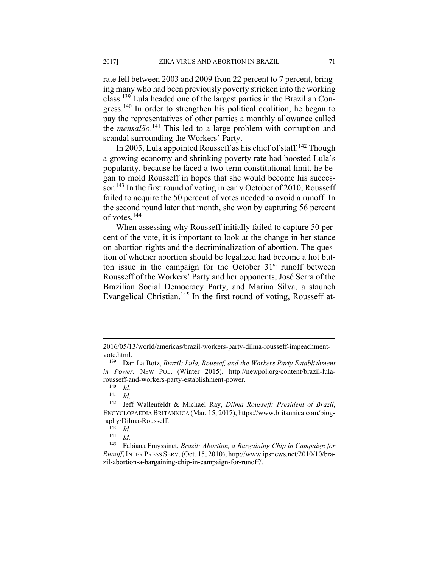rate fell between 2003 and 2009 from 22 percent to 7 percent, bringing many who had been previously poverty stricken into the working class.139 Lula headed one of the largest parties in the Brazilian Congress.<sup>140</sup> In order to strengthen his political coalition, he began to pay the representatives of other parties a monthly allowance called the *mensalão*. 141 This led to a large problem with corruption and scandal surrounding the Workers' Party.

In 2005, Lula appointed Rousseff as his chief of staff.<sup>142</sup> Though a growing economy and shrinking poverty rate had boosted Lula's popularity, because he faced a two-term constitutional limit, he began to mold Rousseff in hopes that she would become his successor.<sup>143</sup> In the first round of voting in early October of 2010, Rousseff failed to acquire the 50 percent of votes needed to avoid a runoff. In the second round later that month, she won by capturing 56 percent of votes.<sup>144</sup>

When assessing why Rousseff initially failed to capture 50 percent of the vote, it is important to look at the change in her stance on abortion rights and the decriminalization of abortion. The question of whether abortion should be legalized had become a hot button issue in the campaign for the October  $31<sup>st</sup>$  runoff between Rousseff of the Workers' Party and her opponents, José Serra of the Brazilian Social Democracy Party, and Marina Silva, a staunch Evangelical Christian.<sup>145</sup> In the first round of voting, Rousseff at-

1

<sup>2016/05/13/</sup>world/americas/brazil-workers-party-dilma-rousseff-impeachmentvote.html. 139 Dan La Botz, *Brazil: Lula, Roussef, and the Workers Party Establishment* 

*in Power*, NEW POL. (Winter 2015), http://newpol.org/content/brazil-lularousseff-and-workers-party-establishment-power. 140 *Id.* 

<sup>141</sup> *Id*. 142 Jeff Wallenfeldt & Michael Ray, *Dilma Rousseff: President of Brazil*, ENCYCLOPAEDIA BRITANNICA (Mar. 15, 2017), https://www.britannica.com/biography/Dilma-Rousseff. 143 *Id.* 

 $\frac{144}{145}$  *Id.* 

<sup>145</sup> Fabiana Frayssinet, *Brazil: Abortion, a Bargaining Chip in Campaign for Runoff*, INTER PRESS SERV. (Oct. 15, 2010), http://www.ipsnews.net/2010/10/brazil-abortion-a-bargaining-chip-in-campaign-for-runoff/.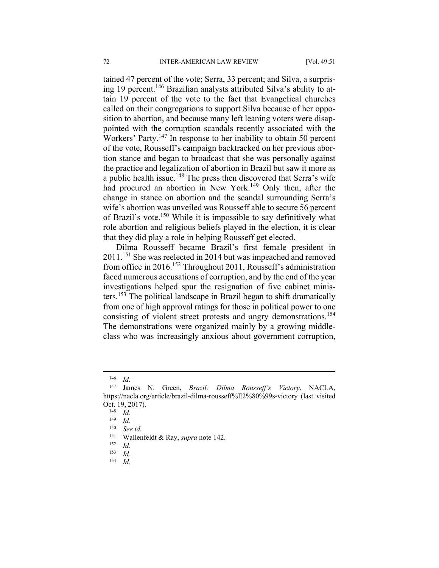tained 47 percent of the vote; Serra, 33 percent; and Silva, a surprising 19 percent.<sup>146</sup> Brazilian analysts attributed Silva's ability to attain 19 percent of the vote to the fact that Evangelical churches called on their congregations to support Silva because of her opposition to abortion, and because many left leaning voters were disappointed with the corruption scandals recently associated with the Workers' Party.<sup>147</sup> In response to her inability to obtain 50 percent of the vote, Rousseff's campaign backtracked on her previous abortion stance and began to broadcast that she was personally against the practice and legalization of abortion in Brazil but saw it more as a public health issue.<sup>148</sup> The press then discovered that Serra's wife had procured an abortion in New York.<sup>149</sup> Only then, after the change in stance on abortion and the scandal surrounding Serra's wife's abortion was unveiled was Rousseff able to secure 56 percent of Brazil's vote.<sup>150</sup> While it is impossible to say definitively what role abortion and religious beliefs played in the election, it is clear that they did play a role in helping Rousseff get elected.

Dilma Rousseff became Brazil's first female president in 2011.151 She was reelected in 2014 but was impeached and removed from office in 2016.152 Throughout 2011, Rousseff's administration faced numerous accusations of corruption, and by the end of the year investigations helped spur the resignation of five cabinet ministers.153 The political landscape in Brazil began to shift dramatically from one of high approval ratings for those in political power to one consisting of violent street protests and angry demonstrations.<sup>154</sup> The demonstrations were organized mainly by a growing middleclass who was increasingly anxious about government corruption,

 $\overline{a}$ 

154 *Id*.

<sup>146</sup> *Id*. 147 James N. Green, *Brazil: Dilma Rousseff's Victory*, NACLA, https://nacla.org/article/brazil-dilma-rousseff%E2%80%99s-victory (last visited Oct. 19, 2017).<br><sup>148</sup> *Id.*<br><sup>149</sup> *Id.* 

<sup>149</sup> *Id.*

<sup>150</sup> *See id.* 

<sup>151</sup> Wallenfeldt & Ray, *supra* note 142. 152 *Id.*

 $\frac{153}{154}$  *Id.*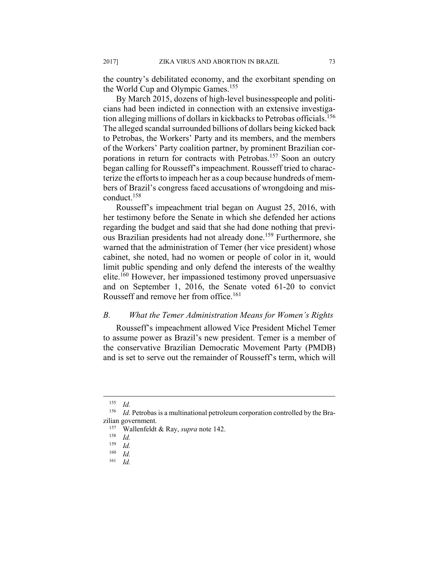the country's debilitated economy, and the exorbitant spending on the World Cup and Olympic Games.<sup>155</sup>

By March 2015, dozens of high-level businesspeople and politicians had been indicted in connection with an extensive investigation alleging millions of dollars in kickbacks to Petrobas officials.156 The alleged scandal surrounded billions of dollars being kicked back to Petrobas, the Workers' Party and its members, and the members of the Workers' Party coalition partner, by prominent Brazilian corporations in return for contracts with Petrobas.<sup>157</sup> Soon an outcry began calling for Rousseff's impeachment. Rousseff tried to characterize the efforts to impeach her as a coup because hundreds of members of Brazil's congress faced accusations of wrongdoing and misconduct.158

Rousseff's impeachment trial began on August 25, 2016, with her testimony before the Senate in which she defended her actions regarding the budget and said that she had done nothing that previous Brazilian presidents had not already done.159 Furthermore, she warned that the administration of Temer (her vice president) whose cabinet, she noted, had no women or people of color in it, would limit public spending and only defend the interests of the wealthy elite.160 However, her impassioned testimony proved unpersuasive and on September 1, 2016, the Senate voted 61-20 to convict Rousseff and remove her from office.<sup>161</sup>

#### *B. What the Temer Administration Means for Women's Rights*

Rousseff's impeachment allowed Vice President Michel Temer to assume power as Brazil's new president. Temer is a member of the conservative Brazilian Democratic Movement Party (PMDB) and is set to serve out the remainder of Rousseff's term, which will

<sup>155</sup> *Id.*

<sup>156</sup> *Id.* Petrobas is a multinational petroleum corporation controlled by the Brazilian government.<br><sup>157</sup> Wallenfeldt & Ray, *supra* note 142.<br><sup>158</sup> Id.

 $\frac{159}{160}$  *Id.* 

 $\frac{160}{161}$  *Id.* 

<sup>161</sup> *Id.*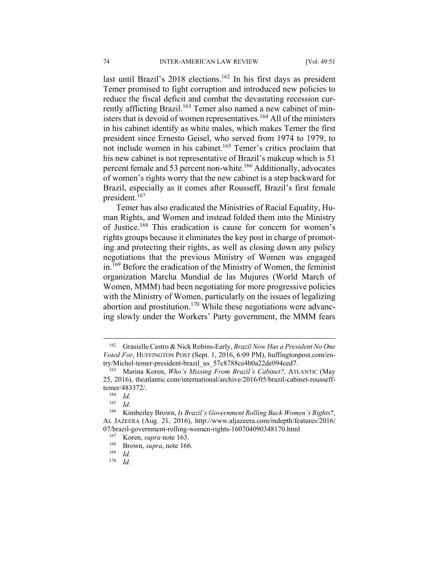last until Brazil's 2018 elections.<sup>162</sup> In his first days as president Temer promised to fight corruption and introduced new policies to reduce the fiscal deficit and combat the devastating recession currently afflicting Brazil.<sup>163</sup> Temer also named a new cabinet of ministers that is devoid of women representatives.<sup>164</sup> All of the ministers in his cabinet identify as white males, which makes Temer the first president since Ernesto Geisel, who served from 1974 to 1979, to not include women in his cabinet.165 Temer's critics proclaim that his new cabinet is not representative of Brazil's makeup which is 51 percent female and 53 percent non-white.<sup>166</sup> Additionally, advocates of women's rights worry that the new cabinet is a step backward for Brazil, especially as it comes after Rousseff, Brazil's first female president.167

Temer has also eradicated the Ministries of Racial Equality, Human Rights, and Women and instead folded them into the Ministry of Justice.168 This eradication is cause for concern for women's rights groups because it eliminates the key post in charge of promoting and protecting their rights, as well as closing down any policy negotiations that the previous Ministry of Women was engaged in.169 Before the eradication of the Ministry of Women, the feminist organization Marcha Mundial de las Mujures (World March of Women, MMM) had been negotiating for more progressive policies with the Ministry of Women, particularly on the issues of legalizing abortion and prostitution.170 While these negotiations were advancing slowly under the Workers' Party government, the MMM fears

<sup>162</sup> Grasielle Castro & Nick Robins-Early, *Brazil Now Has a President No One Voted For*, HUFFINGTON POST (Sept. 1, 2016, 6:09 PM), huffingtonpost.com/entry/Michel-temer-president-brazil\_us\_57c8788ce4b0a22de094ced7. 163 Marina Koren, *Who's Missing From Brazil's Cabinet?,* ATLANTIC (May

<sup>25, 2016),</sup> theatlantic.com/international/archive/2016/05/brazil-cabinet-roussefftemer/483372/.<br><sup>164</sup> *Id.*<br><sup>165</sup> *Id* 

*Id.* 

<sup>166</sup> Kimberley Brown, *Is Brazil's Government Rolling Back Women's Rights*?, AL JAZEERA (Aug. 21, 2016), http://www.aljazeera.com/indepth/features/2016/ 07/brazil-government-rolling-women-rights-160704090348170.html<br><sup>167</sup> Koren, *supra* note 163.<br><sup>168</sup> Brown, *supra*, note 166.<br><sup>169</sup> Id.

<sup>170</sup> *Id.*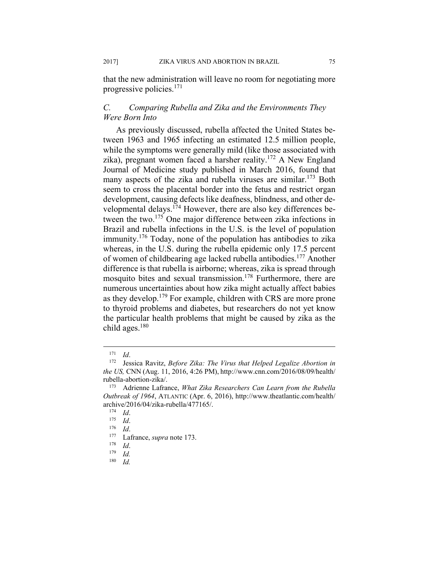that the new administration will leave no room for negotiating more progressive policies.171

# *C. Comparing Rubella and Zika and the Environments They Were Born Into*

As previously discussed, rubella affected the United States between 1963 and 1965 infecting an estimated 12.5 million people, while the symptoms were generally mild (like those associated with zika), pregnant women faced a harsher reality.172 A New England Journal of Medicine study published in March 2016, found that many aspects of the zika and rubella viruses are similar.<sup>173</sup> Both seem to cross the placental border into the fetus and restrict organ development, causing defects like deafness, blindness, and other developmental delays.174 However, there are also key differences between the two.175 One major difference between zika infections in Brazil and rubella infections in the U.S. is the level of population immunity.176 Today, none of the population has antibodies to zika whereas, in the U.S. during the rubella epidemic only 17.5 percent of women of childbearing age lacked rubella antibodies.177 Another difference is that rubella is airborne; whereas, zika is spread through mosquito bites and sexual transmission.178 Furthermore, there are numerous uncertainties about how zika might actually affect babies as they develop.179 For example, children with CRS are more prone to thyroid problems and diabetes, but researchers do not yet know the particular health problems that might be caused by zika as the child ages. $180$ 

<sup>171</sup> *Id*. 172 Jessica Ravitz, *Before Zika: The Virus that Helped Legalize Abortion in the US,* CNN (Aug. 11, 2016, 4:26 PM), http://www.cnn.com/2016/08/09/health/ rubella-abortion-zika/. 173 Adrienne Lafrance, *What Zika Researchers Can Learn from the Rubella* 

*Outbreak of 1964*, ATLANTIC (Apr. 6, 2016), http://www.theatlantic.com/health/ archive/2016/04/zika-rubella/477165/.<br>
<sup>174</sup> *Id.*<br>
<sup>175</sup> *Id.*<br>
<sup>175</sup> *Id.*<br>
<sup>177</sup> Lafrance, *supra* note 173.<br>
<sup>178</sup> *Id.*<br>
<sup>179</sup> *Id.*<br>
<sup>179</sup> *Id.* 

<sup>180</sup> *Id.*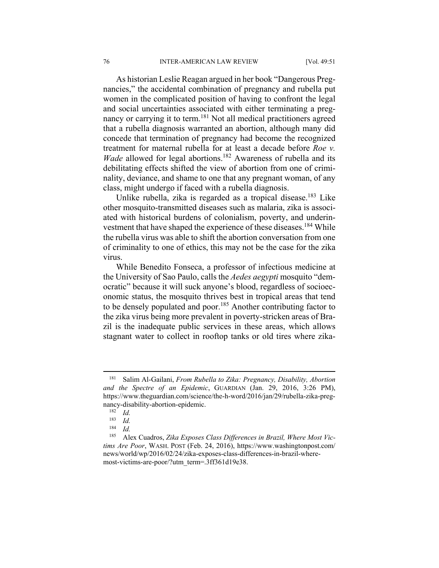As historian Leslie Reagan argued in her book "Dangerous Pregnancies," the accidental combination of pregnancy and rubella put women in the complicated position of having to confront the legal and social uncertainties associated with either terminating a pregnancy or carrying it to term.<sup>181</sup> Not all medical practitioners agreed that a rubella diagnosis warranted an abortion, although many did concede that termination of pregnancy had become the recognized treatment for maternal rubella for at least a decade before *Roe v. Wade* allowed for legal abortions.<sup>182</sup> Awareness of rubella and its debilitating effects shifted the view of abortion from one of criminality, deviance, and shame to one that any pregnant woman, of any class, might undergo if faced with a rubella diagnosis.

Unlike rubella, zika is regarded as a tropical disease.<sup>183</sup> Like other mosquito-transmitted diseases such as malaria, zika is associated with historical burdens of colonialism, poverty, and underinvestment that have shaped the experience of these diseases.<sup>184</sup> While the rubella virus was able to shift the abortion conversation from one of criminality to one of ethics, this may not be the case for the zika virus.

While Benedito Fonseca, a professor of infectious medicine at the University of Sao Paulo, calls the *Aedes aegypti* mosquito "democratic" because it will suck anyone's blood, regardless of socioeconomic status, the mosquito thrives best in tropical areas that tend to be densely populated and poor.<sup>185</sup> Another contributing factor to the zika virus being more prevalent in poverty-stricken areas of Brazil is the inadequate public services in these areas, which allows stagnant water to collect in rooftop tanks or old tires where zika-

<u>.</u>

<sup>181</sup> Salim Al-Gailani, *From Rubella to Zika: Pregnancy, Disability, Abortion and the Spectre of an Epidemic*, GUARDIAN (Jan. 29, 2016, 3:26 PM), https://www.theguardian.com/science/the-h-word/2016/jan/29/rubella-zika-pregnancy-disability-abortion-epidemic.<br><sup>182</sup> *Id.*<br>183 *Id.* 

 $\frac{183}{184}$  *Id.* 

<sup>184</sup> *Id.*

<sup>185</sup> Alex Cuadros, *Zika Exposes Class Differences in Brazil, Where Most Victims Are Poor*, WASH. POST (Feb. 24, 2016), https://www.washingtonpost.com/ news/world/wp/2016/02/24/zika-exposes-class-differences-in-brazil-wheremost-victims-are-poor/?utm\_term=.3ff361d19e38.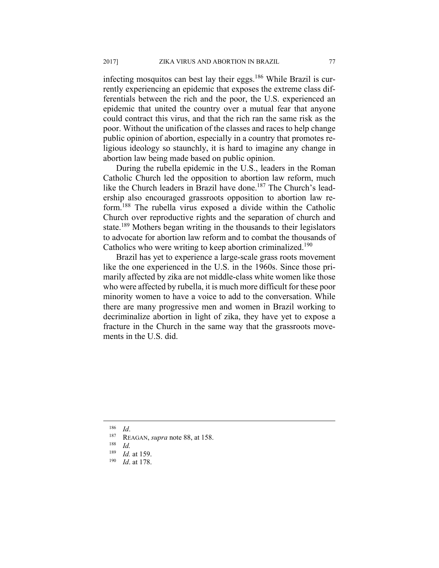infecting mosquitos can best lay their eggs.<sup>186</sup> While Brazil is currently experiencing an epidemic that exposes the extreme class differentials between the rich and the poor, the U.S. experienced an epidemic that united the country over a mutual fear that anyone could contract this virus, and that the rich ran the same risk as the poor. Without the unification of the classes and races to help change public opinion of abortion, especially in a country that promotes religious ideology so staunchly, it is hard to imagine any change in abortion law being made based on public opinion.

During the rubella epidemic in the U.S., leaders in the Roman Catholic Church led the opposition to abortion law reform, much like the Church leaders in Brazil have done.<sup>187</sup> The Church's leadership also encouraged grassroots opposition to abortion law reform.188 The rubella virus exposed a divide within the Catholic Church over reproductive rights and the separation of church and state.<sup>189</sup> Mothers began writing in the thousands to their legislators to advocate for abortion law reform and to combat the thousands of Catholics who were writing to keep abortion criminalized.<sup>190</sup>

Brazil has yet to experience a large-scale grass roots movement like the one experienced in the U.S. in the 1960s. Since those primarily affected by zika are not middle-class white women like those who were affected by rubella, it is much more difficult for these poor minority women to have a voice to add to the conversation. While there are many progressive men and women in Brazil working to decriminalize abortion in light of zika, they have yet to expose a fracture in the Church in the same way that the grassroots movements in the U.S. did.

<sup>186</sup> *Id*. 187 REAGAN, *supra* note 88, at 158.

 $\frac{188}{189}$  *Id.* 

<sup>189</sup> *Id.* at 159. 190 *Id*. at 178.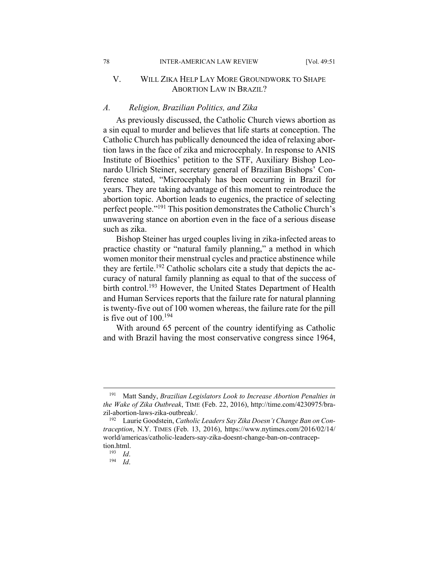# V. WILL ZIKA HELP LAY MORE GROUNDWORK TO SHAPE ABORTION LAW IN BRAZIL?

#### *A. Religion, Brazilian Politics, and Zika*

As previously discussed, the Catholic Church views abortion as a sin equal to murder and believes that life starts at conception. The Catholic Church has publically denounced the idea of relaxing abortion laws in the face of zika and microcephaly. In response to ANIS Institute of Bioethics' petition to the STF, Auxiliary Bishop Leonardo Ulrich Steiner, secretary general of Brazilian Bishops' Conference stated, "Microcephaly has been occurring in Brazil for years. They are taking advantage of this moment to reintroduce the abortion topic. Abortion leads to eugenics, the practice of selecting perfect people."<sup>191</sup> This position demonstrates the Catholic Church's unwavering stance on abortion even in the face of a serious disease such as zika.

Bishop Steiner has urged couples living in zika-infected areas to practice chastity or "natural family planning," a method in which women monitor their menstrual cycles and practice abstinence while they are fertile.<sup>192</sup> Catholic scholars cite a study that depicts the accuracy of natural family planning as equal to that of the success of birth control.<sup>193</sup> However, the United States Department of Health and Human Services reports that the failure rate for natural planning is twenty-five out of 100 women whereas, the failure rate for the pill is five out of  $100^{194}$ 

With around 65 percent of the country identifying as Catholic and with Brazil having the most conservative congress since 1964,

<sup>191</sup> Matt Sandy, *Brazilian Legislators Look to Increase Abortion Penalties in the Wake of Zika Outbreak*, TIME (Feb. 22, 2016), http://time.com/4230975/brazil-abortion-laws-zika-outbreak/. 192 Laurie Goodstein, *Catholic Leaders Say Zika Doesn't Change Ban on Con-*

*traception*, N.Y. TIMES (Feb. 13, 2016), https://www.nytimes.com/2016/02/14/ world/americas/catholic-leaders-say-zika-doesnt-change-ban-on-contraception.html. 193 *Id*. 194 *Id*.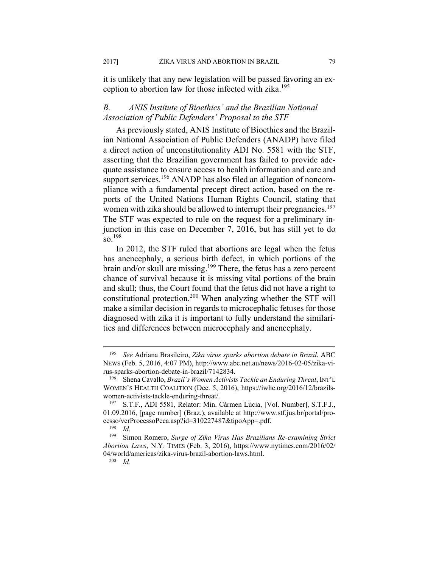it is unlikely that any new legislation will be passed favoring an exception to abortion law for those infected with zika.<sup>195</sup>

# *B. ANIS Institute of Bioethics' and the Brazilian National Association of Public Defenders' Proposal to the STF*

As previously stated, ANIS Institute of Bioethics and the Brazilian National Association of Public Defenders (ANADP) have filed a direct action of unconstitutionality ADI No. 5581 with the STF, asserting that the Brazilian government has failed to provide adequate assistance to ensure access to health information and care and support services.<sup>196</sup> ANADP has also filed an allegation of noncompliance with a fundamental precept direct action, based on the reports of the United Nations Human Rights Council, stating that women with zika should be allowed to interrupt their pregnancies.<sup>197</sup> The STF was expected to rule on the request for a preliminary injunction in this case on December 7, 2016, but has still yet to do  $\overline{SO}$ <sup>198</sup>

In 2012, the STF ruled that abortions are legal when the fetus has anencephaly, a serious birth defect, in which portions of the brain and/or skull are missing.199 There, the fetus has a zero percent chance of survival because it is missing vital portions of the brain and skull; thus, the Court found that the fetus did not have a right to constitutional protection.200 When analyzing whether the STF will make a similar decision in regards to microcephalic fetuses for those diagnosed with zika it is important to fully understand the similarities and differences between microcephaly and anencephaly.

<sup>195</sup> *See* Adriana Brasileiro, *Zika virus sparks abortion debate in Brazil*, ABC NEWS (Feb. 5, 2016, 4:07 PM), http://www.abc.net.au/news/2016-02-05/zika-virus-sparks-abortion-debate-in-brazil/7142834. 196 Shena Cavallo, *Brazil's Women Activists Tackle an Enduring Threat*, INT'L

WOMEN'S HEALTH COALITION (Dec. 5, 2016), https://iwhc.org/2016/12/brazilswomen-activists-tackle-enduring-threat/.<br><sup>197</sup> S.T.F., ADI 5581, Relator: Min. Cármen Lúcia, [Vol. Number], S.T.F.J.,

<sup>01.09.2016, [</sup>page number] (Braz.), available at http://www.stf.jus.br/portal/processo/verProcessoPeca.asp?id=310227487&tipoApp=.pdf. 198 *Id*. 199 Simon Romero, *Surge of Zika Virus Has Brazilians Re-examining Strict* 

*Abortion Laws*, N.Y. TIMES (Feb. 3, 2016), https://www.nytimes.com/2016/02/ 04/world/americas/zika-virus-brazil-abortion-laws.html. 200 *Id.*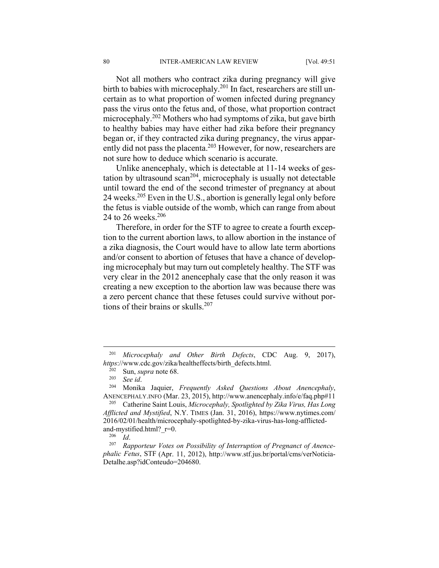Not all mothers who contract zika during pregnancy will give birth to babies with microcephaly.<sup>201</sup> In fact, researchers are still uncertain as to what proportion of women infected during pregnancy pass the virus onto the fetus and, of those, what proportion contract microcephaly.202 Mothers who had symptoms of zika, but gave birth to healthy babies may have either had zika before their pregnancy began or, if they contracted zika during pregnancy, the virus apparently did not pass the placenta.203 However, for now, researchers are not sure how to deduce which scenario is accurate.

Unlike anencephaly, which is detectable at 11-14 weeks of gestation by ultrasound  $scan^{204}$ , microcephaly is usually not detectable until toward the end of the second trimester of pregnancy at about 24 weeks.205 Even in the U.S., abortion is generally legal only before the fetus is viable outside of the womb, which can range from about 24 to 26 weeks.<sup>206</sup>

Therefore, in order for the STF to agree to create a fourth exception to the current abortion laws, to allow abortion in the instance of a zika diagnosis, the Court would have to allow late term abortions and/or consent to abortion of fetuses that have a chance of developing microcephaly but may turn out completely healthy. The STF was very clear in the 2012 anencephaly case that the only reason it was creating a new exception to the abortion law was because there was a zero percent chance that these fetuses could survive without portions of their brains or skulls.207

<sup>201</sup> *Microcephaly and Other Birth Defects*, CDC Aug. 9, 2017), *https://www.cdc.gov/zika/healtheffects/birth\_defects.html.* <sup>202</sup> Sun, *supra* note 68. <br><sup>203</sup> *See id.* 204 Monika Jaquier, *Frequently Asked Questions About Anencephaly*,

ANENCEPHALY.INFO (Mar. 23, 2015), http://www.anencephaly.info/e/faq.php#11 205 Catherine Saint Louis, *Microcephaly, Spotlighted by Zika Virus, Has Long* 

*Afflicted and Mystified*, N.Y. TIMES (Jan. 31, 2016), https://www.nytimes.com/ 2016/02/01/health/microcephaly-spotlighted-by-zika-virus-has-long-afflictedand-mystified.html?\_r=0.<br><sup>206</sup> *Id.* 207 *Rapporteur Votes on Possibility of Interruption of Pregnanct of Anence-*

*phalic Fetus*, STF (Apr. 11, 2012), http://www.stf.jus.br/portal/cms/verNoticia-Detalhe.asp?idConteudo=204680.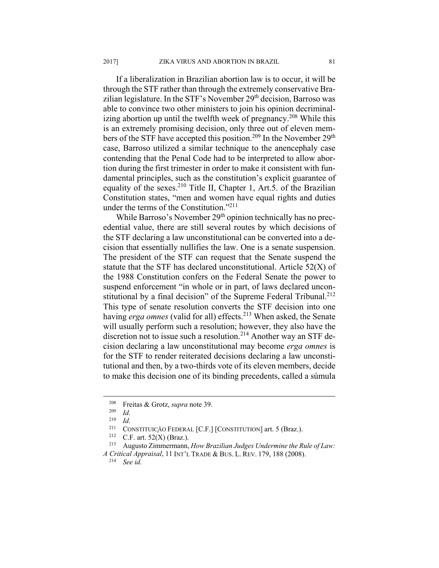If a liberalization in Brazilian abortion law is to occur, it will be through the STF rather than through the extremely conservative Brazilian legislature. In the STF's November 29<sup>th</sup> decision, Barroso was able to convince two other ministers to join his opinion decriminalizing abortion up until the twelfth week of pregnancy.<sup>208</sup> While this is an extremely promising decision, only three out of eleven members of the STF have accepted this position.<sup>209</sup> In the November 29<sup>th</sup> case, Barroso utilized a similar technique to the anencephaly case contending that the Penal Code had to be interpreted to allow abortion during the first trimester in order to make it consistent with fundamental principles, such as the constitution's explicit guarantee of equality of the sexes.<sup>210</sup> Title II, Chapter 1, Art.5. of the Brazilian Constitution states, "men and women have equal rights and duties

under the terms of the Constitution."211 While Barroso's November 29<sup>th</sup> opinion technically has no precedential value, there are still several routes by which decisions of the STF declaring a law unconstitutional can be converted into a decision that essentially nullifies the law. One is a senate suspension. The president of the STF can request that the Senate suspend the statute that the STF has declared unconstitutional. Article 52(X) of the 1988 Constitution confers on the Federal Senate the power to suspend enforcement "in whole or in part, of laws declared unconstitutional by a final decision" of the Supreme Federal Tribunal.<sup>212</sup> This type of senate resolution converts the STF decision into one having *erga omnes* (valid for all) effects.<sup>213</sup> When asked, the Senate will usually perform such a resolution; however, they also have the discretion not to issue such a resolution.<sup>214</sup> Another way an STF decision declaring a law unconstitutional may become *erga omnes* is for the STF to render reiterated decisions declaring a law unconstitutional and then, by a two-thirds vote of its eleven members, decide to make this decision one of its binding precedents, called a súmula

<sup>208</sup> Freitas & Grotz, *supra* note 39. 209 *Id.* 

<sup>210</sup> *Id.* 

<sup>&</sup>lt;sup>211</sup> CONSTITUICÃO FEDERAL [C.F.] [CONSTITUTION] art. 5 (Braz.).<br><sup>212</sup> C.F. art. 52(X) (Braz.).<br><sup>213</sup> Augusto Zimmermann, *How Brazilian Judges Undermine the Rule of Law: A Critical Appraisal*, 11 INT'L TRADE & BUS. L. REV. 179, 188 (2008). 214 *See id.*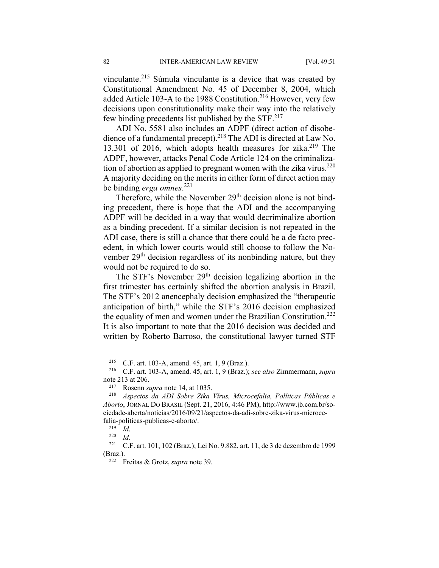vinculante.215 Súmula vinculante is a device that was created by Constitutional Amendment No. 45 of December 8, 2004, which added Article 103-A to the 1988 Constitution.<sup>216</sup> However, very few decisions upon constitutionality make their way into the relatively few binding precedents list published by the STF.<sup>217</sup>

ADI No. 5581 also includes an ADPF (direct action of disobedience of a fundamental precept).218 The ADI is directed at Law No. 13.301 of 2016, which adopts health measures for zika.<sup>219</sup> The ADPF, however, attacks Penal Code Article 124 on the criminalization of abortion as applied to pregnant women with the zika virus. $220$ A majority deciding on the merits in either form of direct action may be binding *erga omnes*. 221

Therefore, while the November 29<sup>th</sup> decision alone is not binding precedent, there is hope that the ADI and the accompanying ADPF will be decided in a way that would decriminalize abortion as a binding precedent. If a similar decision is not repeated in the ADI case, there is still a chance that there could be a de facto precedent, in which lower courts would still choose to follow the November 29<sup>th</sup> decision regardless of its nonbinding nature, but they would not be required to do so.

The STF's November 29<sup>th</sup> decision legalizing abortion in the first trimester has certainly shifted the abortion analysis in Brazil. The STF's 2012 anencephaly decision emphasized the "therapeutic anticipation of birth," while the STF's 2016 decision emphasized the equality of men and women under the Brazilian Constitution.<sup>222</sup> It is also important to note that the 2016 decision was decided and written by Roberto Barroso, the constitutional lawyer turned STF

<sup>215</sup> C.F. art. 103-A, amend. 45, art. 1, 9 (Braz.). 216 C.F. art. 103-A, amend. 45, art. 1, 9 (Braz.); *see also* Zimmermann, *supra* note 213 at 206. 217 Rosenn *supra* note 14, at 1035. 218 *Aspectos da ADI Sobre Zika Vírus, Microcefalia, Políticas Públicas e* 

*Aborto*, JORNAL DO BRASIL (Sept. 21, 2016, 4:46 PM), http://www.jb.com.br/sociedade-aberta/noticias/2016/09/21/aspectos-da-adi-sobre-zika-virus-microcefalia-politicas-publicas-e-aborto/. 219 *Id*. 220 *Id*. 221 C.F. art. 101, 102 (Braz.); Lei No. 9.882, art. 11, de 3 de dezembro de 1999

<sup>(</sup>Braz.). 222 Freitas & Grotz, *supra* note 39.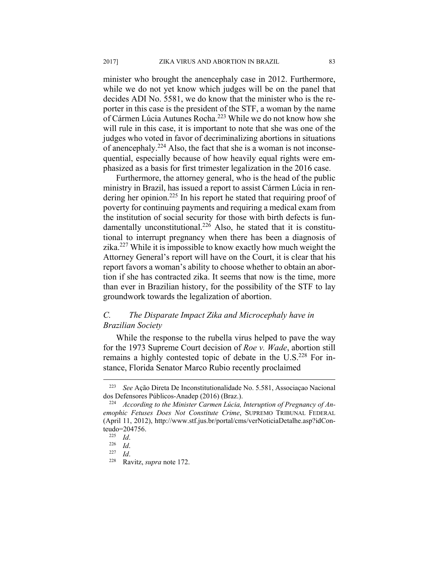minister who brought the anencephaly case in 2012. Furthermore, while we do not yet know which judges will be on the panel that decides ADI No. 5581, we do know that the minister who is the reporter in this case is the president of the STF, a woman by the name of Cármen Lúcia Autunes Rocha.223 While we do not know how she will rule in this case, it is important to note that she was one of the judges who voted in favor of decriminalizing abortions in situations of anencephaly.<sup>224</sup> Also, the fact that she is a woman is not inconsequential, especially because of how heavily equal rights were emphasized as a basis for first trimester legalization in the 2016 case.

Furthermore, the attorney general, who is the head of the public ministry in Brazil, has issued a report to assist Cármen Lúcia in rendering her opinion.<sup>225</sup> In his report he stated that requiring proof of poverty for continuing payments and requiring a medical exam from the institution of social security for those with birth defects is fundamentally unconstitutional.<sup>226</sup> Also, he stated that it is constitutional to interrupt pregnancy when there has been a diagnosis of zika.227 While it is impossible to know exactly how much weight the Attorney General's report will have on the Court, it is clear that his report favors a woman's ability to choose whether to obtain an abortion if she has contracted zika. It seems that now is the time, more than ever in Brazilian history, for the possibility of the STF to lay groundwork towards the legalization of abortion.

# *C. The Disparate Impact Zika and Microcephaly have in Brazilian Society*

While the response to the rubella virus helped to pave the way for the 1973 Supreme Court decision of *Roe v. Wade*, abortion still remains a highly contested topic of debate in the U.S.<sup>228</sup> For instance, Florida Senator Marco Rubio recently proclaimed

<sup>223</sup> *See* Ação Direta De Inconstitutionalidade No. 5.581, Associaçao Nacional dos Defensores Públicos-Anadep (2016) (Braz.). 224 *According to the Minister Carmen Lúcia, Interuption of Pregnancy of An-*

*emophic Fetuses Does Not Constitute Crime*, SUPREMO TRIBUNAL FEDERAL (April 11, 2012), http://www.stf.jus.br/portal/cms/verNoticiaDetalhe.asp?idConteudo=204756. 225 *Id*. 226 *Id*. 227 *Id*. 228 Ravitz, *supra* note 172.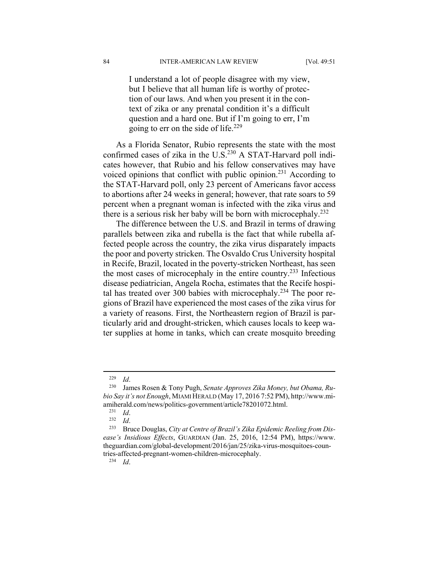I understand a lot of people disagree with my view, but I believe that all human life is worthy of protection of our laws. And when you present it in the context of zika or any prenatal condition it's a difficult question and a hard one. But if I'm going to err, I'm going to  $err$  on the side of life.<sup>229</sup>

As a Florida Senator, Rubio represents the state with the most confirmed cases of zika in the  $U.S.<sup>230</sup> A STAT-Harvard poll indi$ cates however, that Rubio and his fellow conservatives may have voiced opinions that conflict with public opinion.<sup>231</sup> According to the STAT-Harvard poll, only 23 percent of Americans favor access to abortions after 24 weeks in general; however, that rate soars to 59 percent when a pregnant woman is infected with the zika virus and there is a serious risk her baby will be born with microcephaly.<sup>232</sup>

The difference between the U.S. and Brazil in terms of drawing parallels between zika and rubella is the fact that while rubella affected people across the country, the zika virus disparately impacts the poor and poverty stricken. The Osvaldo Crus University hospital in Recife, Brazil, located in the poverty-stricken Northeast, has seen the most cases of microcephaly in the entire country.233 Infectious disease pediatrician, Angela Rocha, estimates that the Recife hospital has treated over 300 babies with microcephaly.<sup>234</sup> The poor regions of Brazil have experienced the most cases of the zika virus for a variety of reasons. First, the Northeastern region of Brazil is particularly arid and drought-stricken, which causes locals to keep water supplies at home in tanks, which can create mosquito breeding

<sup>229</sup> *Id*. 230 James Rosen & Tony Pugh, *Senate Approves Zika Money, but Obama, Rubio Say it's not Enough*, MIAMI HERALD (May 17, 2016 7:52 PM), http://www.miamiherald.com/news/politics-government/article78201072.html.<br><sup>231</sup> *Id.* 232 *Id.* 232 *Id.* 233 Bruce Douglas, *City at Centre of Brazil's Zika Epidemic Reeling from Dis-*

*ease's Insidious Effects*, GUARDIAN (Jan. 25, 2016, 12:54 PM), https://www. theguardian.com/global-development/2016/jan/25/zika-virus-mosquitoes-countries-affected-pregnant-women-children-microcephaly. 234 *Id*.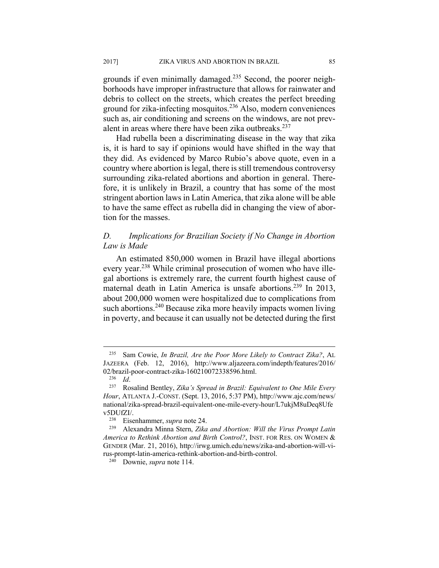grounds if even minimally damaged.<sup>235</sup> Second, the poorer neighborhoods have improper infrastructure that allows for rainwater and debris to collect on the streets, which creates the perfect breeding ground for zika-infecting mosquitos.236 Also, modern conveniences such as, air conditioning and screens on the windows, are not prevalent in areas where there have been zika outbreaks.<sup>237</sup>

Had rubella been a discriminating disease in the way that zika is, it is hard to say if opinions would have shifted in the way that they did. As evidenced by Marco Rubio's above quote, even in a country where abortion is legal, there is still tremendous controversy surrounding zika-related abortions and abortion in general. Therefore, it is unlikely in Brazil, a country that has some of the most stringent abortion laws in Latin America, that zika alone will be able to have the same effect as rubella did in changing the view of abortion for the masses.

# *D. Implications for Brazilian Society if No Change in Abortion Law is Made*

An estimated 850,000 women in Brazil have illegal abortions every year.<sup>238</sup> While criminal prosecution of women who have illegal abortions is extremely rare, the current fourth highest cause of maternal death in Latin America is unsafe abortions.<sup>239</sup> In 2013, about 200,000 women were hospitalized due to complications from such abortions.<sup>240</sup> Because zika more heavily impacts women living in poverty, and because it can usually not be detected during the first

<sup>235</sup> Sam Cowie, *In Brazil, Are the Poor More Likely to Contract Zika?*, AL JAZEERA (Feb. 12, 2016), http://www.aljazeera.com/indepth/features/2016/ 02/brazil-poor-contract-zika-160210072338596.html. 236 *Id*. 237 Rosalind Bentley, *Zika's Spread in Brazil: Equivalent to One Mile Every* 

*Hour*, ATLANTA J.-CONST. (Sept. 13, 2016, 5:37 PM), http://www.ajc.com/news/ national/zika-spread-brazil-equivalent-one-mile-every-hour/L7ukjM8uDeq8Ufe v5DUfZI/. 238 Eisenhammer, *supra* note 24. 239 Alexandra Minna Stern, *Zika and Abortion: Will the Virus Prompt Latin* 

*America to Rethink Abortion and Birth Control?*, INST. FOR RES. ON WOMEN & GENDER (Mar. 21, 2016), http://irwg.umich.edu/news/zika-and-abortion-will-virus-prompt-latin-america-rethink-abortion-and-birth-control. 240 Downie, *supra* note 114.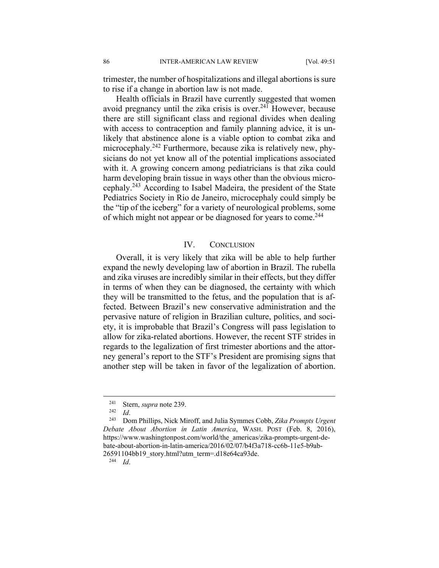trimester, the number of hospitalizations and illegal abortions is sure to rise if a change in abortion law is not made.

Health officials in Brazil have currently suggested that women avoid pregnancy until the zika crisis is over.<sup>241</sup> However, because there are still significant class and regional divides when dealing with access to contraception and family planning advice, it is unlikely that abstinence alone is a viable option to combat zika and microcephaly.<sup>242</sup> Furthermore, because zika is relatively new, physicians do not yet know all of the potential implications associated with it. A growing concern among pediatricians is that zika could harm developing brain tissue in ways other than the obvious microcephaly.243 According to Isabel Madeira, the president of the State Pediatrics Society in Rio de Janeiro, microcephaly could simply be the "tip of the iceberg" for a variety of neurological problems, some of which might not appear or be diagnosed for years to come.<sup>244</sup>

#### IV. CONCLUSION

Overall, it is very likely that zika will be able to help further expand the newly developing law of abortion in Brazil. The rubella and zika viruses are incredibly similar in their effects, but they differ in terms of when they can be diagnosed, the certainty with which they will be transmitted to the fetus, and the population that is affected. Between Brazil's new conservative administration and the pervasive nature of religion in Brazilian culture, politics, and society, it is improbable that Brazil's Congress will pass legislation to allow for zika-related abortions. However, the recent STF strides in regards to the legalization of first trimester abortions and the attorney general's report to the STF's President are promising signs that another step will be taken in favor of the legalization of abortion.

<sup>241</sup> Stern, *supra* note 239. 242 *Id*. 243 Dom Phillips, Nick Miroff, and Julia Symmes Cobb, *Zika Prompts Urgent Debate About Abortion in Latin America*, WASH. POST (Feb. 8, 2016), https://www.washingtonpost.com/world/the\_americas/zika-prompts-urgent-debate-about-abortion-in-latin-america/2016/02/07/b4f3a718-cc6b-11e5-b9ab-26591104bb19\_story.html?utm\_term=.d18e64ca93de. 244 *Id*.